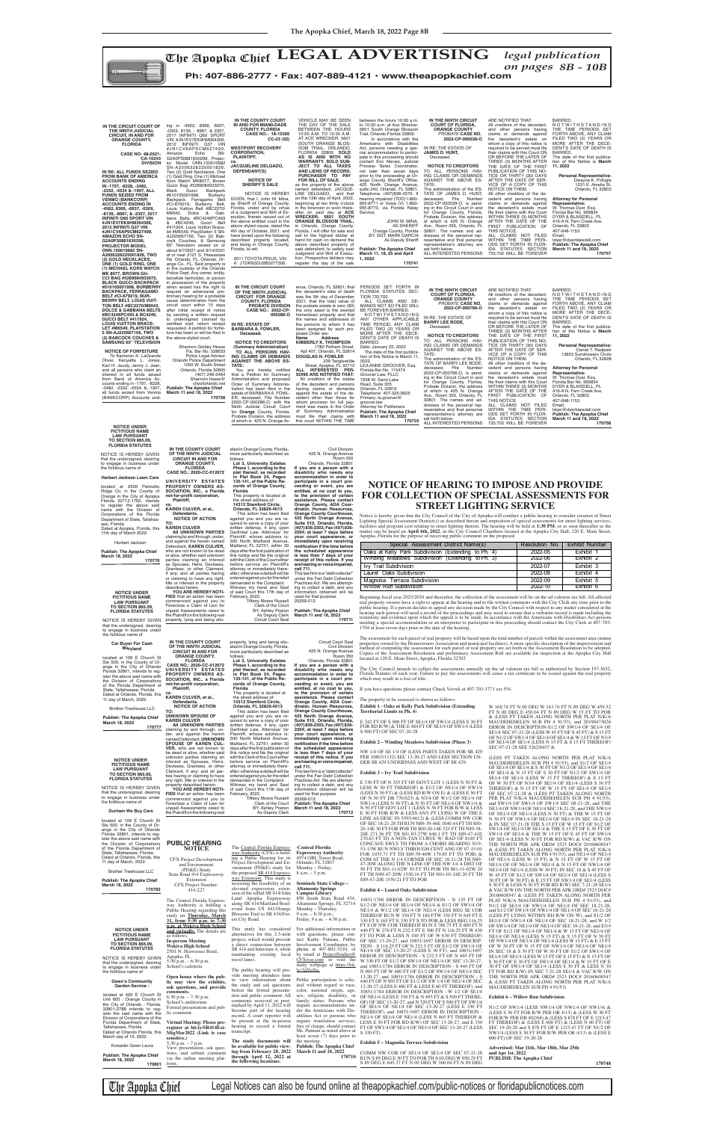

**NOTICE OF HEARING TO IMPOSE AND PROVIDE FOR COLLECTION OF SPECIAL ASSESSMENTS FOR STREET LIGHTING SERVICE**

Notice is hereby given that the City Council of the City of Apopka will conduct a public hearing to consider creation of Street Lighting Special Assessment District(s) as described herein and imposition of special assessments for street lighting services,<br>facilities and program cost relating to street lighting therein. The hearing will be held at 1 Apopka, Florida for the purpose of receiving public comment on the proposed

Beginning fiscal year 2023/2024 and thereafter, the collection of the assessment will be on the ad valorem tax bill. All affected real property owners have a right to appear at the hearing and to file written comments with the City Clerk any time prior to the public hearing. If a person decides to appeal any decision made by the City Council with respect to any matter considered at the hearing such person will need a record of the proceedings and may need to ensure that a verbatim record is made including the<br>testimony and evidence upon which the appeal is to be made. In accordance with the Americans wit needing a special accommodation or an interpreter to participate in this proceeding should contact the City Clerk at 407-703- 1704 at least seven days prior to the date of the hearing.

The City Council intends to collect the assessments annually on the ad valorem tax bill as authorized by Section 197.3632, Florida Statutes of each year. Failure to pay the assessments will cause a tax certificate to be issued against the real property which may result in a loss of title.

If you have questions please contact Chuck Vavrek at 407-703-1771 ext 554.

The property to be assessed is shown as follows:

#### **Exhibit 1 - Oaks at Kelly Park Subdivision (Extending Territorial Limits to Ph. 4)**

E 242 FT OF S 900 FT OF SE1/4 OF SW1/4 (LESS S 30 FT FOR RD R/W) & THE E 484 FT OF SE1/4 OF SW1/4 (LESS S 900 FT) OF SEC 07-20-28

#### **Exhibit 2 – Winding Meadows Subdivision (Phase 3)**

NW 1/4 OF SE 1/4 OF (LESS PARTS TAKEN FOR SR 429 PER 10803/1152) SEC 13-20-27 AND LESS SECTION UN-DER SR 429 UNDERPASS AND WEST OF SR 429.

#### **Exhibit 3 – Ivy Trail Subdivision**

E 330 FT OF N 355 FT OF GOVT LOT 1 (LESS N 50 FT & LESS W 50 FT THEREOF) & E1/2 OF NE1/4 OF NW1/4 (LESS N 50 FT) & (LESS RD R/W ON E) & (LESS E 50 FT OF N 50 FT DB 770/623) & N3/4 OF W1/2 OF NE1/4 OF NW1/4 (LESS N 50 FT) & N 50 FT OF NE1/4 OF NW1/4 & N 50 FT OF GOV LOT 1 (LESS N 30 FT FOR R/W & LESS E 30 FT FOR R/W & LESS ANY PT LYING W OF THE E LINE AS DESC IN 5593/4612) & (LESS COMM NW COR OF SEC 18-21-28 TH RUN N89-39-46E 1040.44 FT TH S00- 20-14E 30 FT FOR POB TH S00-20-14E 325 FT TH N89-38- 26E 271.36 FT TH S01-03-27W 648.1 FT TH S89-47-41E 270.63 FT TO A NON-TAN CURVE W/ RAD OF 8185 FT CONCAVE SWLY TH FROM A CHORD BEARING N19- 53-13W RUN NWLY THROUGH CENT ANG OF 07-15-01 FOR 1035.73 FT TH S89-39-46W 179.85 FT TO POB) & COM AT THE N 1/4 CORNER OF SEC 18-21-28 TH N89- 47-20W ALONG THE N LINE OF THE NW 1/4 A DIST OF 50 FT TH S01-11-02W 30 FT TO POB TH S01-11-02W 20 FT TH N89-47-20W 1550.16 FT TH N01-03-24E 20 FT TH S89-47-20E 1550.21 FT TO POB

#### **Exhibit 4 – Laurel Oaks Subdivision**

10851/1700 ERROR IN DESCRIPTION - N 135 FT OF S1/2 OF NE1/4 OF SE1/4 OF NE1/4 & E1/2 OF SW1/4 OF NE1/4 & W1/2 OF SE1/4 OF NE1/4 (LESS BEG SE COR THEREOF RUN W 330 FT N 180 FTW 330 FT N 645 FT E 330 FT S 165 FT E 330 FT S TO POB & LESS BEG 116.25 FT S OF NW COR THEREOF RUN S 788.75 FT E 600 FT N 440 FT W 270 FT N 232.5 FT E 300 FT N 116.25 FT W 630 FT TO POB & LESS N 100 FT OF W 630 FT THEREOF) OF SEC 13-20-27, and 10851/1697 ERROR IN DESCRIP-TION - S 116.25 FT OF N 232.5 FT OF E1/2 OF SW1/4 OF<br>NE1/4 OF SEC 13-20-27 (LESS E 30 FT), and 10851/1697<br>ERROR IN DESCRIPTION - S 232.5 FT OF N 465 FT OF<br>W 330 FT OF E1/2 OF SW1/4 OF NE1/4 OF SEC 13-20-27,<br>and 10851/1784 N 905 FT OF W 480 FT OF E1/2 OF SW1/4 OF NE1/4 SEC<br>13-20-27, and 10851/1784 ERROR IN DESCRIPTION - S<br>440 FT OF N 905 FT OF E1/2 OF SW 1/4 OF NE1/4 OF SEC 13-20-27 (LESS E 480 FT & LESS E 60 FT THEREOF), and 10851/1784 ERROR IN DESCRIPTION - W 1/2 OF SE1/4 OF NE1/4 (LESS E 330 FT & N 495 FT & S 500 FT THERE-OF) OF SEC 13-20-27, and N 320 FT OF S 500 FT OF SW1/4 OF SE1/4 OF NE1/4 OF SEC 13-20-27 (LESS E 330 FT THEREOF), and 10851/1697 ERROR IN DESCRIPTION - NE1/4 OF SE1/4 OF NE1/4 (LESS N 465 FT THEREOF & LESS E 30 FT FOR RD R/W) OF SEC 13-20-27, and E 330 FT OF SW1/4 OF SE1/4 OF NE1/4 OF SEC 13-20-27 (LESS S 330 FT).

#### **Exhibit 5 – Magnolia Terrace Subdivision**

COMM NW COR OF SE1/4 OF SE1/4 OF SEC 07-21-28 RUN S 89 DEG E 30 FT TO POB TH S 00 DEG W 950.29 FT S 89 DEG E 645.37 FT N 00 DEG W 360.04 FT N 89 DEG

W 168.78 FT N 00 DEG W 143.76 FT N 89 DEG W 459.52 FT N 00 DEG E 450.04 FT N 89 DEG W 15 FT TO POB & (LESS PT TAKEN ALONG NORTH PER PLAT N/K/A MAUDEHEHELEN SUB PH 4 91/53), and 20190473026 ERROR IN DESCRIPTION-S1/2 OF SW1/4 OF SE1/4 OF SE1/4 SEC 07-21-28 (LESS W 45 FT OF S 45 FT) & S 15 FT OF N1/2 OF SW1/4 OF SE1/4 OF SE1/4 & W 15 FT OF N3/4 OF SE1/4 OF SE1/4 (LESS N 15 FT & S 15 FT THEREOF) SEC 07-21-28 SEE 5262/0457 &

(LESS PT TAKEN ALONG NORTH PER PLAT N/K/A MAUDEHEHELEN SUB PH 4 91/53), and S1/2 OF SE1/4 OF SE1/4 OF SE1/4 & S 30 FT OF N1/2 OF SE1/4 OF SE1/4 OF SE1/4 & N 15 FT OF S 30 FT OF N1/2 OF SW1/4 OF SE1/4 OF SE1/4 (LESS W 15 FT THEREOF) & E 15 FT OF W 30 FT OF N3/4 OF SE1/4 OF SE1/4 (LESS S 30 FT<br>THEREOF) & N 15 FT OF W 15 FT OF SE1/4 OF SE1/4<br>OF SEC 07-21-28 & (LESS PT TAKEN ALONG NORTH<br>PER PLAT N/K/A MAUDEHEHELEN SUB PH 4 91/53),<br>and SW1/4 OF SW1/4 OF SW1/4 SEC 0 NE1/4 OF NW1/4 OF NE1/4 SEC 18-21-28, and THE NW1/4 OF NE1/4 OF NE1/4 (LESS N 30 FT) & THE W 15 FT OF N 30 FT OF NW1/4 OF NE1/4 OF NE1/4 IN SEC 18-21-28 & IN SEC 07-21-28 THE S 15 FT OF W 15 FT OF S1/2 OF SW1/4 OF SE1/4 OF SE1/4 & THE S 15 FT OF E 30 FT OF SW1/4 OF SE1/4 & THE W 15 FT OF E 45 FT OF SW1/4 OF SE1/4 (LESS N 30 FT FOR RD R/W) & VAC R/W ON THE NORTH PER APK ORD# 2523 DOC# 20160608547<br>& (LESS PT TAKEN ALONG NORTH PER PLAT N/K/A<br>MAUDEHEHELEN SUB PH 491/53), and NE1/4 OF NE1/4<br>OF NE1/4 (LESS W 15 FT) & N 15 FT OF W 15 FT OF<br>NE1/4 OF OF NE1/4 OF NE1/4 & N 15 FT NE1/4 OF NE1/4 (LESS W 30 FT) IN SEC 18 & S 45 FT OF W 45 FT OF S1/2 OF SW1/4 OF SE1/4 OF SE1/4 (LESS S 30 FT OF W 30 FT) & E 15 FT OF SW1/4 OF SE1/4 (LESS S 30 FT & LESS N 30 FT FOR RD R/W) SEC 7-21-28 SE1/4 & VAC R/W ON THE NORTH PER APK ORD# 2523 DOC# 20160608547 & (LESS PT TAKEN ALONG NORTH PER PLAT N/K/A MAUDEHEHELEN SUB PH 4 91/53), and N1/2 OF SE1/4 OF NW1/4 OF NE1/4 OF SEC 18-21-28, and S1/2 OF SW1/4 OF NW1/4 OF NE1/4 OF SEC 18-21-28 (LESS PT LYING WITHIN RD R/W ON W), and S1/2 OF SE1/4 OF NW1/4 OF NE1/4 OF SEC 18-21-28, and W 1/2 OF SW1/4 OF NE1/4 OF NE1/4 OF SEC 18-21-28, and E3/4 FT OF S1/2 OF NE1/4 OF NE1/4 & W 15 FT OF NE1/4 OF NE1/4 OF NE1/4 (LESS N 15 FT) & S 15 FT OF N 30 FT OF NW1/4 OF NE1/4 OF NE1/4 (LESS W 15 FT) & E 15 FT OF W 30 FT OF N 15 FT OF NW1/4 OF NE1/4 OF NE1/4 IN SEC 18 & S 30 FT OF W 30 FT OF S1/2 OF SW1/4 OF SE1/4 OF SE1/4 (LESS W 15 FT OF S 15 FT) & N 15 FT OF S 30 FT OF E 30 FT OF SW1/4 OF SE1/4 & W 15 FT OF E 30 FT OF SW1/4 OF SE1/4 (LESS S 30 FT & LESS N 30 FT FOR RD R/W) IN SEC 7-21-28 SE1/4 & VAC R/W ON THE NORTH PER APK ORD# 2523 DOC# 20160608547 & (LESS PT TAKEN ALONG NORTH PER PLAT N/K/A MAUDEHEHELEN SUB PH 4 91/53)

#### **Exhibit 6 – Willow Run Subdivision**

N1/2 OF NW1/4 (LESS NW1/4 OF NW1/4 OF NW1/4) & (LESS S 30 FT FOR R/W PER OR 4/13) & (LESS W 30 FT FOR R/W PER DB 402/68) & (LESS S 878 FT OF E 1215.47 FT THEREOF) & (LESS E 600 FT) & (LESS N 60 FT) OF SEC 19-20-28 and S 878 FT OF E 1215.47 FT OF N1/2 OF NW1/4 (LESS S 30 FT FOR R/W PER OR 4/13) & (LESS E 600 FT) OF SEC 19-20-28

**Advertised: Mar 11th, Mar 18th, Mar 25th and Apr 1st, 2022 PUBLISH: The Apopka Chief** 

 **170748**

The Apopka Chief Legal Notices can also be found online at theapopkachief.com/public-notices or floridapublicnotices.com

| Special Assessment District Name(s)                 |                | Resolution No.   Exhibit Number |
|-----------------------------------------------------|----------------|---------------------------------|
| Oaks at Kelly Park Subdivision (Extending to Ph. 4) | $2022 - 05$    | Fxhibit 1                       |
| Winding Meadows Subdivision (Extending to Ph. 3)    | <b>ZUZZ-06</b> | ExNIDITZ                        |
| Ivy Trail Subdivision                               | 2022-07        | Fxhibit 3                       |
| Laurel Oaks Subdivision                             | 2022-08        | Exhibit 4                       |
| Magnolia Terrace Subdivision                        | $2022 - 09$    | Exhibit 5                       |
| <b>Willow Run Subdivision</b>                       | 2022-10        | Exhibit 6                       |

Civil Division<br>425 N. Orange Avenue<br>Room 350 Orlando, Florida 32801

NOTICE IS HEREBY GIVEN that the undersigned, desiring to engage in business under<br>the fictitious name of

> the proposed SR 414 Expressway Extension. This study is assessing the feasibility of an elevated expressway extension of the tolled SR 414/John Land Apopka Expressway along SR 414/Maitland Boul-evard from US 441/Orange Blossom Trail to SR 434/Forest City Road. This study has considered alternatives for this 2.3-mile project, which would provide a direct connection between SR 414 and Interstate 4, while maintaining existing local travel lanes. The public hearing will pro-vide meeting attendees time to view information about the study and ask questions before the formal presenta-tion and public comment. All comments received or postmarked by April 11, 2022 will become part of the hearing record. A court reporter will be present at the in-person

Project Development and Environment (PD&E) study for **Expressway Authority** 4974 ORL Tower Road, Orlando, FL 32807 Monday – Friday, 8 a.m. – 5 p.m. 9 a.m. – 8:30 p.m.;

hearing to record a formal

**·Central Florida** 

**Seminole State College – Altamonte Springs Campus Library** 850 South State Road 434, Altamonte Springs, FL 32714 Monday – Thursday, Friday, 9 a.m. – 4:30 p.m.

For additional information or with questions, please contact Kathy Putnam, Public Involvement Coordinator, by phone at 407-802-3210, or

**The study documents will be available for public view-ing from February 28, 2022 through April 12, 2022 at the following locations:** the meeting.

The Apopka Chief LEGAL ADVERTISING *legal publication*<br>on pages 8B - 10F *on pages 8B - 10B*

> Public participation is solicited without regard to race, color, national origin, age, sex, religion, disability, or family status. Persons who require accommodations under the Americans with Disabilities Act or persons who require translation services, free of charge, should contact

Ms. Putnam as noted above at least seven (7) days prior to

**Publish: The Apopka Chief March 11 and 18, 2022 170710**

The assessment for each parcel of real property will be based upon the total number of parcels within the assessment area (minus<br>properties owned by the Homeowners Association and municipal facilities). A more specific des method of computing the assessment for each parcel of real property are set forth in the Assessment Resolution to be adopted.<br>Copies of the Assessment Resolution and preliminary Assessment Roll are available for inspection located at 120 E. Main Street, Apopka, Florida 32703.

**IN THE COUNTY COURT OF THE NINTH JUDICIAL CIRCUIT IN AND FOR ORANGE COUNTY, FLORIDA CASE NO.: 2020-CC-012672**

**UNIVERSITY ESTATES PROPERTY OWNERS AS-SOCIATION, INC., a Florida not-for-profi t corporation, Plaintiff, vs. KAREN CULVER, et al., Defendants. NOTICE OF ACTION TO: KAREN CULVER**

 **All UNKNOWN PARTIES**  claiming by and through, under, and against the herein named Defendant, **KAREN CULVER,** who are not known to be dead or alive, whether said unknown parties claiming an interest as Spouses, Heirs, Devisees, Grantees, or other Claimant, if any; and all parties having or claiming to have any right, title or interest in the property described herein. **YOU ARE HEREBY NOTI-FIED** that an action has been commenced against you to Foreclose a Claim of Lien for

ated in Orange County, Florida, more particularly described as follows: **Lot 3, University Estates** 

**Phase 1, according to the plat thereof, as recorded in Plat Book 24, Pages 135-141, of the Public Re-cords of Orange County, Florida** This property is located at the street address of: **14312 Stamford Circle, Orlando, FL 32826-4013**<br>This action has been filed against you and you are required to serve a copy of your written defense, if any, upon Garfi nkel Law, Attorneys' for Plaintiff, whose address is: 300 North Maitland Avenue, Maitland, FL 32751, within 30 days after the first publication of this notice and file the original with the Clerk of the Court either before service on Plaintiff's attorney or immediately there-**If you are a person with a disability who needs any accommodation in order to participate in a court pro-ceeding or event, you are entitled, at no cost to you, to the provision of certain**  assistance. Please contact<br>Orange County, ADA Coor-<br>dinator, Human Resources,<br>Orange County Courthouse,<br>425 North Orange Avenue,<br>Suite 510, Orlando, Florida,<br>(407) 836-2303, Fax (407) 836-**2204; at least 7 days before your court appearance, or immediately upon receiving notifi cation if the time before the scheduled appearance is less than 7 days of your receipt of this notice. If you** 

after; otherwise a default will be entered against you for the relief demanded in the Complaint. Witness my hand and Seal of said Court this 17th day of February, 2022. **are hearing or voice impaired,<br><b>call 711.**<br>This law firm is a "debt collector" under the Fair Debt Collection Practices Act. We are attempting to collect a debt, and any information obtained will be used for that purpose.

Tiffany Moore Russell 20269-013

Clerk of the Court BY: Ashley Poston As Deputy Clerk Circuit Court Seal **Publish: The Apopka Chief March 11 and 18, 2022 170711**

| IN THE CIRCUIT COURT OF<br>THE NINTH JUDICIAL<br><b>CIRCUIT, IN AND FOR</b><br><b>ORANGE COUNTY,</b><br><b>FLORIDA</b><br>CASE NO: 48-2021-<br>CA-10243<br><b>DIVISION</b><br>IN RE: ALL FUNDS SEZIED<br>FROM BANK OF AMERICA<br><b>ACCOUNTS ENDING</b><br>IN -1797. -8228. -3482.<br>-2332, -4534 & -1907, ALL<br><b>FUNDS SEZIED FROM</b><br><b>VENMO (BANKCORP)</b><br>ACCOUNTS ENDING IN<br>-4562. 8366. -6937. -0309.<br>-8139, -8967, & -2357, 2017<br>INFINITI Q60 SPORT VIN<br>#JN1EV7EK9HM364306.<br>2012 INFINITI G37 VIN<br>#JN1CV6AP9CM627499<br><b>AMAZON ECHO SN-</b><br>G2A0P30881630296<br>PROJECTOR MODEL<br>ONN.100010682 SN-<br>A2006328220001826, TWO<br>(2) GOLD NECKLACES,<br>ONE (1) GOLD RING, ONE                                                                                           | ing in -4562, 8366, 6937.<br>-0309, 8139, - 8967, & 2357,<br>2017 INFINITI Q60 SPORT<br>VIN #JN1EV7EK9HM364306,<br>2012 INFINITI G37 VIN<br>#JN1CV6AP9CM627499.<br>Echo<br>SN-<br>Amazon<br>G2A0P30881630296, Projec-<br>tor Model ONN.100010682<br>SN-A2006328220001826,<br>Two (2) Gold Necklaces, One<br>(1) Gold Ring, One (1) Michael<br>Kors Watch MK8077, Brown<br>Gucci Bag #5269084933075,<br>Gucci<br>Backpack<br>Black<br>#610105001998,<br><b>Burberry</b><br>Backpack, Ferragamo Belt<br>#CI-679219, Burberry Belt,<br>Louis Vuitton Belt #BC2270/<br>Dolce & Gab-<br>M9043,<br>bana Belts #BC4246PC493<br>& #BC4246, Gucci Belt<br>#411924, Louis Vuitton Brace-<br>let #M6549, PlayStation 5 SN-<br>AJ225667156, Two (2) Bab-<br>cock Couches, & Samsung<br>65" Television seized on or<br>about 9/7/2021 and 9/14/2021<br>at or near 2121 S. Hiawassee<br>Rd. Orlando, FL, Orlando, Or-<br>ange Co., FL. Said property is | IN THE COUNTY COURT<br>IN AND FOR MIAMI-DADE<br><b>COUNTY, FLORIDA</b><br>CASE NO.: 18-15395<br>$CC-23(02)$<br><b>WESTPORT RECOVERY</b><br><b>CORPORATION,</b><br><b>PLAINTIFF.</b><br>JACQUELINE DELGADO,<br>DEFENDANT(S)<br><b>NOTICE OF</b><br><b>SHERIFF'S SALE</b><br>NOTICE IS HEREBY<br>GIVEN, that I, John W. Mina,<br>as Sheriff of Orange County,<br>Florida, under and by virtue<br>of a Judgment and Writ of Ex-<br>ecution, therein issued out of<br>the above entitled court in the<br>above styled cause, dated the<br>4th day of October, 2021, and<br>have levied upon the following<br>described property located,<br>and being in Orange County,<br>Florida, to-wit:<br>2011 TOYOTA PRIUS, VIN<br>#: JTDKN3DU9B0277306. | VEHICLE MAY BE SEEN<br>THE DAY OF THE SALE<br>BETWEEN THE HOURS<br>10:00 A.M. TO 10:30 A.M.<br>AT ACE WRECKER, 5601<br>SOUTH ORANGE BLOS-<br>SOM TRAIL, ORLANDO,<br>FLORIDA 32809. SOLD<br>AS IS AND WITH NO<br><b>WARRANTY, SOLD SUB-</b><br>JECT TO ALL TAXES<br>AND LIENS OF RECORD.<br>PURCHASER TO PAY<br>FOR BILL OF SALE.<br>as the property of the above<br>named defendant, JACQUE-<br>LINE DELGADO, and that<br>on the 13th day of April, 2022,<br>beginning at ten thirty o'clock<br>in the forenoon or soon there-<br>after on said day at ACE<br>WRECKER, 5601 SOUTH<br><b>ORANGE BLOSSOM TRAIL,</b><br>in Orlando, Orange County,<br>Florida. I will offer for sale and<br>sell to the highest bidder at<br>hand for cash on demand the<br>above described property of<br>said defendant, to satisfy said<br>Judgment and Writ of Execu-<br>tion. Prospective bidders may<br>register the day of the sale | between the hours 10:00 a.m.<br>to 10:30 a.m. at Ace Wrecker.<br>5601 South Orange Blossom<br>Trail, Orlando Florida 32809.<br>In accordance with the<br>Americans with Disabilities<br>Act, persons needing a spe-<br>cial accommodation to partici-<br>pate in this proceeding should<br>contact Eric Nieves, Judicial<br>Process Sales Coordinator,<br>not later than seven days<br>prior to the proceeding at Or-<br>ange County Sheriff's Office,<br>425 North Orange Avenue,<br>suite 240, Orlando, FL 32801.<br>Telephone: (407)836-4570; If<br>hearing impaired (TDD)1-800-<br>955-8771 or Voice (V) 1-800-<br>955-8770, via Florida Relav<br>Service.<br>JOHN W. MINA,<br>AS SHERIFF<br>Orange County, Florida<br>BY: SGT. MARK GARCIA<br>As Deputy Sheriff<br><b>Publish: The Apopka Chief</b><br>March 11, 18, 25 and April<br>1.2022<br>170741 | IN THE NINTH CIRCUIT<br><b>COURT OF FLORIDA,</b><br><b>ORANGE COUNTY</b><br>PROBATE CASE NO.<br>2022-CP-000539-O<br>IN RE: THE ESTATE OF<br><b>JAMES D. HUNT,</b><br>Deceased.<br><b>NOTICE TO CREDITORS</b><br>TO ALL PERSONS HAV-<br>ING CLAIMS OR DEMANDS<br>AGAINST THE ABOVE ES-<br>TATE:<br>The administration of the ES-<br>TATE OF JAMES D. HUNT,<br>deceased,<br>File<br>Number<br>2022-CP-000539-O, is pend-<br>ing in the Circuit Court in and<br>for Orange County, Florida,<br>Probate Division, the address<br>of which is 425 N. Orange<br>Ave., Room 355, Orlando, FL<br>32801. The names and ad-<br>dresses of the personal rep-<br>resentative and that personal<br>representative's attorney are<br>set forth below.<br>ALL INTERESTED PERSONS | ARE NOTIFIED THAT:<br>All creditors of the decedent,<br>and other persons having<br>claims or demands against<br>the decedent's estate on<br>whom a copy of this notice is<br>required to be served must file<br>their claims with this Court ON<br>OR BEFORE THE LATER OF<br>THREE (3) MONTHS AFTER<br>THE DATE OF THE FIRST<br>PUBLICATION OF THIS NO-<br>TICE OR THIRTY (30) DAYS<br>AFTER THE DATE OF SER-<br>VICE OF A COPY OF THIS<br>NOTICE ON THEM<br>All other creditors of the de-<br>cedent and persons having<br>claims or demands against<br>the decedent's estate must<br>file their claims with this Court<br>WITHIN THREE (3) MONTHS<br>AFTER THE DATE OF THE<br>FIRST PUBLICATION OF<br>THIS NOTICE.<br>ALL CLAIMS NOT FILED<br>WITHIN THE TIME PERI-<br>ODS SET FORTH IN FLOR-<br>IDA STATUTES SECTION<br>733.702 WILL BE FOREVER | BARRED.<br>NOTWITHSTANDING<br>THE TIME PERIODS SET<br>FORTH ABOVE, ANY CLIAM<br>FILED TWO (2) YEARS OF<br>MORE AFTER THE DECE-<br>DENT'S DATE OF DEATH IS<br>BARRED.<br>The date of the first publica-<br>tion of this Notice is March<br>11.2022<br><b>Personal Representative:</b><br>Dwayne K. Prifogle<br>1231 E. Amelia St.<br>Orlando, FL 32803<br><b>Attorney for Personal</b><br>Representative:<br>W. Thomas Dyer, Esg.<br>Florida Bar No. 969834<br>DYER & BLAISDELL, PL<br>416-A N. Fern Creek Ave.<br>Orlando, FL 32803<br>407-648-1153<br>Email:<br>tdyer@dyerblaisdell.com<br><b>Publish: The Apopka Chief</b><br>March 11 and 18, 2022<br>170757 |
|----------------------------------------------------------------------------------------------------------------------------------------------------------------------------------------------------------------------------------------------------------------------------------------------------------------------------------------------------------------------------------------------------------------------------------------------------------------------------------------------------------------------------------------------------------------------------------------------------------------------------------------------------------------------------------------------------------------------------------------------------------------------------------------------------------------------|-------------------------------------------------------------------------------------------------------------------------------------------------------------------------------------------------------------------------------------------------------------------------------------------------------------------------------------------------------------------------------------------------------------------------------------------------------------------------------------------------------------------------------------------------------------------------------------------------------------------------------------------------------------------------------------------------------------------------------------------------------------------------------------------------------------------------------------------------------------------------------------------------------------------------------------------|--------------------------------------------------------------------------------------------------------------------------------------------------------------------------------------------------------------------------------------------------------------------------------------------------------------------------------------------------------------------------------------------------------------------------------------------------------------------------------------------------------------------------------------------------------------------------------------------------------------------------------------------------------------------------------------------------------------------------------------------|-------------------------------------------------------------------------------------------------------------------------------------------------------------------------------------------------------------------------------------------------------------------------------------------------------------------------------------------------------------------------------------------------------------------------------------------------------------------------------------------------------------------------------------------------------------------------------------------------------------------------------------------------------------------------------------------------------------------------------------------------------------------------------------------------------------------------------------------------------------------------------------------------------------------------|------------------------------------------------------------------------------------------------------------------------------------------------------------------------------------------------------------------------------------------------------------------------------------------------------------------------------------------------------------------------------------------------------------------------------------------------------------------------------------------------------------------------------------------------------------------------------------------------------------------------------------------------------------------------------------------------------------------------------------------------------------------------------------------------------------------------------------------------------------|-------------------------------------------------------------------------------------------------------------------------------------------------------------------------------------------------------------------------------------------------------------------------------------------------------------------------------------------------------------------------------------------------------------------------------------------------------------------------------------------------------------------------------------------------------------------------------------------------------------------------------------------------------------------------------------------------------------------------------------------------------------------|-----------------------------------------------------------------------------------------------------------------------------------------------------------------------------------------------------------------------------------------------------------------------------------------------------------------------------------------------------------------------------------------------------------------------------------------------------------------------------------------------------------------------------------------------------------------------------------------------------------------------------------------------------------------------------------------------------------------------------------------------------------------------------------------------------------------------------------------------------|-----------------------------------------------------------------------------------------------------------------------------------------------------------------------------------------------------------------------------------------------------------------------------------------------------------------------------------------------------------------------------------------------------------------------------------------------------------------------------------------------------------------------------------------------------------------------------------------------------------------------------------------------------------------|
| (1) MICHAEL KORS WATCH<br>MK 8077, BROWN GU-<br>CCI BAG #5269084933075.<br>BLACK GUCCI BACKPACK<br>#610105001998, BURBERRY<br>BACKPACK. FERRAGAMO<br>BELT #CI-679219, BUR-<br>BERRY BELT, LOUIS VUIT-<br>TON BELT #BC2270/M9043.<br><b>DOLCE &amp; GABBANA BELTS</b><br>#BC4246PC493 & BC4246.<br><b>GUCCI BELT #411924.</b><br><b>LOUIS VUITTON BRACE-</b><br>LET #M6549, PLAYSTATION<br>5 SN-AJ225667156, TWO<br>(2) BABCOCK COUCHES &<br>ŠÁMSUNG 65" TELEVISION<br><b>NOTICE OF FORFEITURE</b><br>To Kameron K. LaGrande<br>Oliver, Kenyatta L. Jones,<br>Karl H. Jeudy, Jenny J. Jean,<br>and all persons who claim an<br>interest in all funds seized<br>from Bank of America Ac-<br>counts ending in -1797, -8228,<br>-3482, -2332, -4534, & -1907,<br>all funds seized from Venmo<br>(BANKCORP) Accounts end- | in the custody of the Orlando<br>Police Dept. Any owner, entity,<br>bonafide lienholder, or person<br>in possession of the property<br>when seized has the right to<br>request an adversarial pre-<br>liminary hearing for a probable<br>cause determination from the<br>circuit court within 15 days<br>after initial receipt of notice<br>by sending a written request<br>to undersigned counsel by<br>certified mail, return receipt<br>requested. A petition for forfei-<br>ture has been or will be filed in<br>the above-styled court.<br><b>Shannon Gridley Hesse</b><br>Fla. Bar No. 528633<br>Police Legal Advisor<br>Orlando Police Department<br>1250 W. South Street<br>Orlando, Florida 32805<br>(407) 246-2464<br>Shannon.hesse@<br>cityoforlando.net<br><b>Publish: The Apopka Chief</b><br>March 11 and 18, 2022<br>170726                                                                                                | IN THE CIRCUIT COURT<br>OF THE NINTH JUDICIAL<br><b>CIRCUIT FOR ORANGE</b><br><b>COUNTY, FLORIDA</b><br>PROBATE DIVISION<br><b>CASE NO.: 2022-CP-</b><br>000286-O<br>IN RE: ESTATE OF<br><b>BARBARA A. FOWLER.</b><br>Deceased.<br><b>NOTICE TO CREDITORS</b><br>(Summary Administration)<br>TO ALL PERSONS HAV-<br>ING CLAIMS OR DEMANDS<br><b>AGAINST THE ABOVE ES-</b><br>TATE:<br>You are hereby notified<br>that a Petition for Summary<br>Administration and proposed<br>Order of Summary Adminis-<br>tration has been filed in the<br>estate of BARBARA A. FOWL-<br>ER, deceased, File Number<br>2022-CP-000286-O, with the<br>Ninth Judicial Circuit Court<br>for <b>Orange</b> County, Florida,<br>Probate Division, the address  | enue, Orlando, FL 32801; that<br>the decedent's date of death<br>was the 5th day of December<br>2021; that the total value of<br>the probate estate is zero (\$0)<br>the only asset is the exempt<br>homestead property and that<br>the names and addresses of<br>the persons to whom it has<br>been assigned by such pro-<br>posed Order are:<br>Name<br><b>Address</b><br><b>KIMBERLY K. THOMPSON</b><br>1780 Pelham Street,<br>Apt 407, Orlando, FL 32814<br><b>DOUGLAS N. FOWLER</b><br>239 Tanglewilde<br>Street, Apopka, FL 32712<br>ALL INTERESTED PER-<br><b>SONS ARE NOTIFIED THAT:</b><br>All creditors of the estate<br>of the decedent and persons<br>having claims or demands<br>against the estate of the de-<br>cedent other than those for<br>whom provision for full pay-<br>ment was made in the Order<br>of Summary Administration<br>must file their claims with                                    | PERIODS SET FORTH IN<br>FLORIDA STATUTES SEC-<br>TION 733.702.<br>ALL CLAIMS AND DE-<br>MANDS NOT SO FILED WILL<br>BE FOREVER BARRED.<br>NOTWITHSTANDING<br>ANY OTHER APPLICABLE<br>TIME PERIOD, ANY CLAIM<br>FILED TWO (2) YEARS OR<br>MORE AFTER THE DECE-<br>DENT'S DATE OF DEATH IS<br>BARRED.<br>Date: January 25, 2022<br>The date of the first publica-<br>tion of this Notice is March 11,<br>2022.<br>LEA ANNE GROOVER, Esq.<br>Florida Bar No. 115474<br>Groover Law, PLLC<br>7208 W. Sand Lake<br>Road, Suite 305<br>Orlando, FL 32819<br>Telephone: 407-325-9925<br>Primary: la.groover@<br>groover.law<br>Attorney for Petitioners<br><b>Publish: The Apopka Chief</b><br>March 11 and 18, 2022                                                                                                                                               | IN THE NINTH CIRCUIT<br><b>COURT OF FLORIDA,</b><br><b>ORANGE COUNTY</b><br>PROBATE CASE NO.<br>2022-CP-000766-O<br>IN RE: THE ESTATE OF<br><b>BARRY LEE BODE,</b><br>Deceased.<br><b>NOTICE TO CREDITORS</b><br>TO ALL PERSONS HAV-<br>ING CLAIMS OR DEMANDS<br>AGAINST THE ABOVE ES-<br>TATE:<br>The administration of the ES-<br>TATE OF BARRY LEE BODE.<br>deceased. File Number<br>2022-CP-000766-O, is pend-<br>ing in the Circuit Court in and<br>for Orange County, Florida,<br>Probate Division, the address<br>of which is 425 N. Orange<br>Ave., Room 355, Orlando, FL<br>32801. The names and ad-<br>dresses of the personal rep-<br>resentative and that personal<br>representative's attorney are                                                   | ARE NOTIFIED THAT:<br>All creditors of the decedent,<br>and other persons having<br>claims or demands against<br>the decedent's estate on<br>whom a copy of this notice is<br>required to be served must file<br>their claims with this Court ON<br>OR BEFORE THE LATER OF<br>THREE (3) MONTHS AFTER<br>THE DATE OF THE FIRST<br>PUBLICATION OF THIS NO-<br>TICE OR THIRTY (30) DAYS<br>AFTER THE DATE OF SER-<br>VICE OF A COPY OF THIS<br>NOTICE ON THEM.<br>All other creditors of the de-<br>cedent and persons having<br>claims or demands against<br>the decedent's estate must<br>file their claims with this Court<br>WITHIN THREE (3) MONTHS<br>AFTER THE DATE OF THE<br>FIRST PUBLICATION OF<br>THIS NOTICE.<br>ALL CLAIMS NOT FILED<br>WITHIN THE TIME PERI-<br>ODS SET FORTH IN FLOR-                                                   | BARRED.<br>NOTWITHSTANDING<br>THE TIME PERIODS SET<br>FORTH ABOVE, ANY CLIAM<br>FILED TWO (2) YEARS OF<br>MORE AFTER THE DECE<br>DENT'S DATE OF DEATH IS<br>BARRED.<br>The date of the first publica-<br>tion of this Notice is March<br>11.2022<br><b>Personal Representative:</b><br>Daniel T. Radjeski<br>13853 Sunshowers Circle<br>Orlando, FL 32828<br><b>Attorney for Personal</b><br>Representative:<br>W. Thomas Dyer, Esq.<br>Florida Bar No. 969834<br>DYER & BLAISDELL, PL<br>416-A N. Fern Creek Ave.<br>Orlando, FL 32803<br>407-648-1153<br>Email:<br>tdyer@dyerblaisdell.com<br>Publish: The Apopka Chief                                       |
| <b>NATIOF UNIDER</b>                                                                                                                                                                                                                                                                                                                                                                                                                                                                                                                                                                                                                                                                                                                                                                                                 |                                                                                                                                                                                                                                                                                                                                                                                                                                                                                                                                                                                                                                                                                                                                                                                                                                                                                                                                           | of which is 425 N. Orange Av-                                                                                                                                                                                                                                                                                                                                                                                                                                                                                                                                                                                                                                                                                                              | this court WITHIN THE TIME                                                                                                                                                                                                                                                                                                                                                                                                                                                                                                                                                                                                                                                                                                                                                                                                                                                                                              | 170735                                                                                                                                                                                                                                                                                                                                                                                                                                                                                                                                                                                                                                                                                                                                                                                                                                                     | set forth below.                                                                                                                                                                                                                                                                                                                                                                                                                                                                                                                                                                                                                                                                                                                                                  | IDA STATUTES SECTION<br>ALL INTERESTED PERSONS 733.702 WILL BE FOREVER                                                                                                                                                                                                                                                                                                                                                                                                                                                                                                                                                                                                                                                                                                                                                                              | March 11 and 18, 2022<br>170758                                                                                                                                                                                                                                                                                                                                                                                                                                                                                                                                                                                                                                 |

**PUBLIC HEARING NOTICE** CFX Project Development and Environmen (PD&E) Study State Road 414 Expressway Extension CFX Project Number: 414-227 The Central Florida Expressway Authority is holding a Public Hearing regarding this study on **Thursday, March 31, from 5:30 p.m. to 7:30 p.m. at Wekiva High School and virtually.** The details are as follows: **In-person Meeting Wekiva High School** 2501 N. Hiawassee Road, Apopka, FL 5:30 p.m. – 6:30 p.m. School's cafeteria **Open house where the pub-lic may view the exhibits, ask questions, and provide comments.** 6:30 p.m. – 7:30 p.m. School's auditorium Formal presentation and public comment. **Virtual Meeting: Please preregister at bit.ly/SR414Ext-MtgMar2022 (Link is case sensitive.)** 5:30 p.m. – 7 p.m. View presentation, ask ques-tions, and submit comment via the online meeting platform. The Central Florida Expressway Authority (CFX) is hold-ing a Public Hearing for its transcript. unpaid Assessments owed to the Plaintiff on the following real NOTICE IS HEREBY GIVEN property, lying and being situ-**IN THE COUNTY COURT OF THE NINTH JUDICIAL CIRCUIT IN AND FOR ORANGE COUNTY, FLORIDA CASE NO.: 2020-CC-012672 UNIVERSITY ESTATES PROPERTY OWNERS AS-SOCIATION, INC., a Florida not-for-profi t corporation, Plaintiff, vs. KAREN CULVER, et al., Defendants. NOTICE OF ACTION TO: UNKNOWN SPOUSE OF KAREN CULVER All UNKNOWN PARTIES**  claiming by and through, un-der, and against the herein named Defendant, **UNKNOWN SPOUSE OF KAREN CUL-VER,** who are not known to be dead or alive, whether said unknown parties claiming an interest as Spouses, Heirs, Devisees, Grantees, or other Claimant, if any; and all parties having or claiming to have any right, title or interest in the property described herein. **YOU ARE HEREBY NOTI-FIED** that an action has been commenced against you to Foreclose a Claim of Lien for unpaid Assessments owed to the Plaintiff on the following real property, lying and being situated in Orange County, Florida, more particularly described as follows: **Lot 3, University Estates Phase 1, according to the plat thereof, as recorded in Plat Book 24, Pages 135-141, of the Public Re-cords of Orange County, Florida** This property is located at the street address of:<br>14312 Stamford Circle **14312 Stamford Circle,<br><b>Orlando, FL 32826-4013**<br>This action has been filed against you and you are required to serve a copy of your written defense, if any, upon Garfi nkel Law, Attorneys' for Plaintiff, whose address is: 300 North Maitland Avenue, Maitland, FL 32751, within 30 days after the first publication of<br>this notice and file the original with the Clerk of the Court either before service on Plaintiff's attorney or immediately thereafter; otherwise a default will be entered against you for the relief demanded in the Complaint. Witness my hand and Seal of said Court this 17th day of February, 2022. Tiffany Moore Russell that the undersigned, desiring to engage in business under hame of **Car Buyer For Cash Maryland** located at 109 E Church St Ste 500, in the County of Orange in the City of Orlando Florida 32801, intends to reg-ister the above said name with the Division of Corporations of the Florida Department of State, Tallahassee, Florida. Dated at Orlando, Florida, this 11 day of March, 2022. Brother Treehouse LLC **Publish: The Apopka Chief March 18, 2022 170777 NOTICE UNDER FICTITIOUS NAME LAW PURSUANT TO SECTION 865.09, FLORIDA STATUTES** NOTICE IS HEREBY GIVEN that the undersigned, desiring<br>to engage in business under<br>the fictitious name of **Durham We Buy Cars** located at 109 E Church St Ste 500, in the County of Or-ange in the City of Orlando Florida 32801, intends to register the above said name with the Division of Corporations of the Florida Department of State, Tallahassee, Florida. Dated at Orlando, Florida, this 11 day of March, 2022. Brother Treehouse LLC **Publish: The Apopka Chief March 18, 2022 170782 NOTICE UNDER FICTITIOUS NAME LAW PURSUANT TO SECTION 865.09, FLORIDA STATUTES** NOTICE IS HEREBY GIVEN that the undersigned, desiring<br>to engage in business under<br>the fictitious name of **Gwen's Community Garden Service :** located at 420 E Church St Unit 605 : Orange County in the City of Orlando : Florida, 32801-2788 intends to register the said name with the Division of Corporations of the Florida Department of State, Tallahassee, Florida. Dated at Orlando Florida, this March day of 15, 2022 Kowalski Gwen Laura **Publish: The Apopka Chief March 18, 2022 170801**

Clerk of the Court BY: Ashley Poston As Deputy Clerk

Circuit Court Seal Civil Division 425 N. Orange Avenue Room 350 Orlando, Florida 32801 **If you are a person with a disability who needs any accommodation in order to participate in a court pro-ceeding or event, you are entitled, at no cost to you, to the provision of certain** 

assistance. Please contact<br>Orange County, ADA Coor-<br>dinator, Human Resources,<br>Orange County Courthouse,<br>425 North Orange Avenue,<br>Suite 510, Orlando, Florida,<br>(407) 836-2303, Fax (407) 836-

**2204; at least 7 days before your court appearance, or immediately upon receiving notifi cation if the time before** 

**the scheduled appearance is less than 7 days of your receipt of this notice. If you are hearing or voice impaired,<br><b>call 711.**<br>This law firm is a "debt collector" under the Fair Debt Collection Practices Act. We are attempting to collect a debt, and any information obtained will be used for that purpose.

20269-013

by email at ProjectStudies@<br>CFXway.com or visit the CFXway.com or visit the study webpage at https://bit.

# ly/3jZfoNa.

**Publish: The Apopka Chief March 11 and 18, 2022**

 **170712**

| <b>NOTICE UNDER</b>       |
|---------------------------|
| <b>FICTITIOUS NAME</b>    |
| <b>LAW PURSUANT</b>       |
| <b>TO SECTION 865.09,</b> |
| <b>FLORIDA STATUTES</b>   |

#### **Herbert Jackson Lawn Care**

located at 2500 Palmetto Ridge Cir, in the County of Orange in the City of Apopka Florida 32712-1762, intends to register the above said name with the Division of Corporations of the Florida Department of State, Tallahassee, Florida. Dated at Apopka, Florida, this 11th day of March 2022.

## Herbert Jackson

**Publish: The Apopka Chief March 18, 2022 170776**

> **NOTICE UNDER FICTITIOUS NAME LAW PURSUANT TO SECTION 865.09, FLORIDA STATUTES**

**Ph: 407-886-2777 • Fax: 407-889-4121 • www.theapopkachief.com**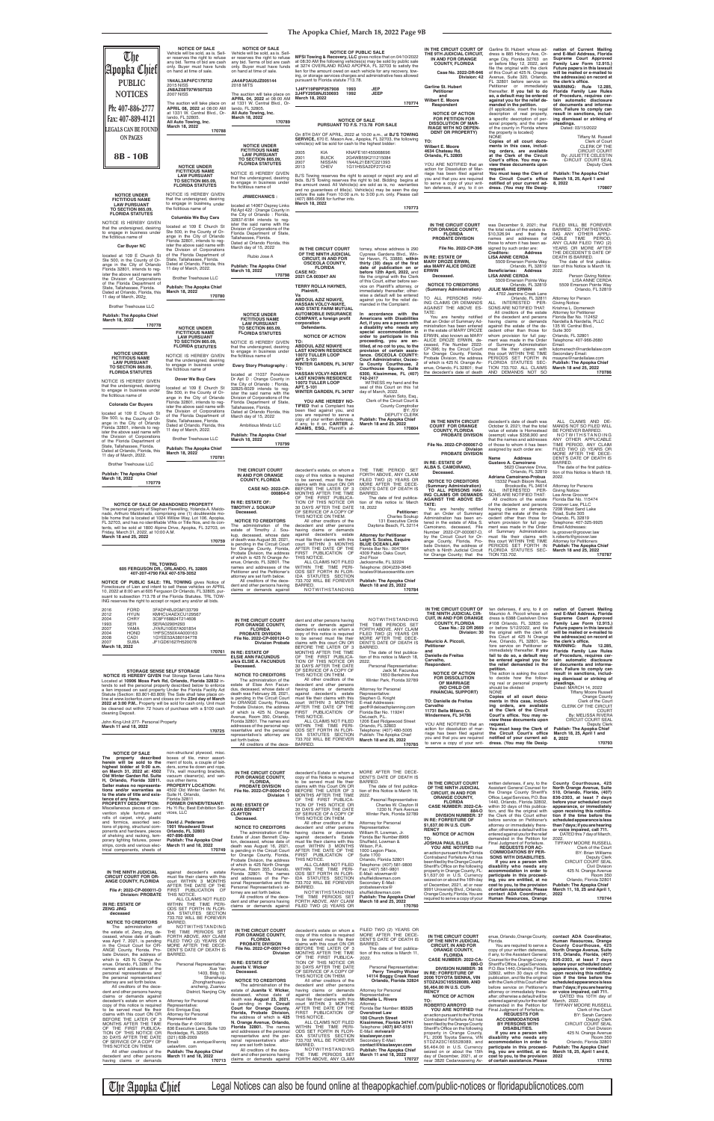The Apopka Chief Legal Notices can also be found online at theapopkachief.com/public-notices or floridapublicnotices.com

| ind reserves the right to accept or reject any analog an olds                                                                                                                                                                                                                                                                                                                                                                                                                                                                                                                                                                                                                                                                                                                                                                                                                                                                                                         |                                                                                                                                                                                                                                                                                                                                                                                                                                                                                                                                                                                                                                                                                                                                                                                                      |                                                                                                                                                                                                                                                                                                                                                                                                                                                                                                                                                                                                                                                                                                                                                                                              |                                                                                                                                                                                                                                                                                                                                                                                                                                                                                                                                                                                                                                                                                                                                                                                                                        |                                                                                                                                                                                                                                                                                                                                                                                                                                                                                                                                                                                                                                                                                                          |                                                                                                                                                                                                                                                                                                                                                                                                                                                                                                                                                                                                                                                                                                                                                                            |                                                                                                                                                                                                                                                                                                                                                                                                                                                                                                                                                                                                                                                                                                                                                                                                                                                                                                                 |                                                                                                                                                                                                                                                                                                                                                                                                                                                                                                                                                                                                                                                                                                                                                                                                                 |
|-----------------------------------------------------------------------------------------------------------------------------------------------------------------------------------------------------------------------------------------------------------------------------------------------------------------------------------------------------------------------------------------------------------------------------------------------------------------------------------------------------------------------------------------------------------------------------------------------------------------------------------------------------------------------------------------------------------------------------------------------------------------------------------------------------------------------------------------------------------------------------------------------------------------------------------------------------------------------|------------------------------------------------------------------------------------------------------------------------------------------------------------------------------------------------------------------------------------------------------------------------------------------------------------------------------------------------------------------------------------------------------------------------------------------------------------------------------------------------------------------------------------------------------------------------------------------------------------------------------------------------------------------------------------------------------------------------------------------------------------------------------------------------------|----------------------------------------------------------------------------------------------------------------------------------------------------------------------------------------------------------------------------------------------------------------------------------------------------------------------------------------------------------------------------------------------------------------------------------------------------------------------------------------------------------------------------------------------------------------------------------------------------------------------------------------------------------------------------------------------------------------------------------------------------------------------------------------------|------------------------------------------------------------------------------------------------------------------------------------------------------------------------------------------------------------------------------------------------------------------------------------------------------------------------------------------------------------------------------------------------------------------------------------------------------------------------------------------------------------------------------------------------------------------------------------------------------------------------------------------------------------------------------------------------------------------------------------------------------------------------------------------------------------------------|----------------------------------------------------------------------------------------------------------------------------------------------------------------------------------------------------------------------------------------------------------------------------------------------------------------------------------------------------------------------------------------------------------------------------------------------------------------------------------------------------------------------------------------------------------------------------------------------------------------------------------------------------------------------------------------------------------|----------------------------------------------------------------------------------------------------------------------------------------------------------------------------------------------------------------------------------------------------------------------------------------------------------------------------------------------------------------------------------------------------------------------------------------------------------------------------------------------------------------------------------------------------------------------------------------------------------------------------------------------------------------------------------------------------------------------------------------------------------------------------|-----------------------------------------------------------------------------------------------------------------------------------------------------------------------------------------------------------------------------------------------------------------------------------------------------------------------------------------------------------------------------------------------------------------------------------------------------------------------------------------------------------------------------------------------------------------------------------------------------------------------------------------------------------------------------------------------------------------------------------------------------------------------------------------------------------------------------------------------------------------------------------------------------------------|-----------------------------------------------------------------------------------------------------------------------------------------------------------------------------------------------------------------------------------------------------------------------------------------------------------------------------------------------------------------------------------------------------------------------------------------------------------------------------------------------------------------------------------------------------------------------------------------------------------------------------------------------------------------------------------------------------------------------------------------------------------------------------------------------------------------|
| <b>FORD</b><br>2016<br>2012<br><b>HYUN</b><br><b>CHRY</b><br>2004<br>1993<br><b>SER</b><br>2007<br>YAMA<br><b>HOND</b><br>2004<br>CADI<br>2008<br>2007<br><b>SUBA</b><br>March 18, 2022<br><b>STORAGE SENSE SELF STORAGE</b><br><b>NOTICE IS HEREBY GIVEN</b> that Storage Sense Lake Nona<br>Located at 10906 Moss Park Rd, Orlando, Florida 32832 in-<br>tends to sell the personal property described below to enforce<br>a lien imposed on said property Under the Florida Facility Act<br>Statute (Section: 83.801-83.809) The Sale shall take place on-<br>line at www.lockerfox.com and closes on the 23rd day of March<br>2022 at 3:00 P.M Property will be sold for cash only. Unit must<br>be cleaned out within 72 hours of purchase with a \$100 cash<br>cleaning Deposit.<br>John King-Unit 277- Personal Property<br>March 11 and 18, 2022                                                                                                              | 3FADP4BJ2GM133799<br>KMHCU4AEXCU129567<br>3C8FY68824T214608<br>SERA0290H293<br>JYARJ10E67A001854<br>1HFSC550X4A000163<br>1GYEE53A380194778<br>JF1GD61627H520078<br>170761<br>170725                                                                                                                                                                                                                                                                                                                                                                                                                                                                                                                                                                                                                  | IN THE CIRCUIT COURT<br>FOR ORANGE COUNTY,<br><b>FLORIDA</b><br><b>PROBATE DIVISION</b><br>File No. 2022-CP-000124-O<br><b>Division Probate</b><br>IN RE: ESTATE OF<br><b>ELSIE ANN FACUNDUS</b><br>a/k/a ELSIE A. FACUNDUS<br>Deceased.<br><b>NOTICE TO CREDITORS</b><br>The administration of the<br>estate of Elsie Ann Facun-<br>dus, deceased, whose date of<br>death was February 28, 2021,<br>is pending in the Circuit Court<br>for ORANGE County, Florida.<br>Probate Division, the address<br>of which is 425 N. Orange<br>Avenue, Room 350, Orlando,<br>Florida 32801. The names and<br>addresses of the personal rep-<br>resentative and the personal<br>representative's attorney are<br>set forth below.<br>All creditors of the dece-                                         | dent and other persons having<br>claims or demands against<br>decedent's estate on whom a<br>copy of this notice is required<br>to be served must file their<br>claims with this court ON OR<br>BEFORE THE LATER OF 3<br>MONTHS AFTER THE TIME<br>OF THE FIRST PUBLICA-<br>TION OF THIS NOTICE OR<br>30 DAYS AFTER THE DATE<br>OF SERVICE OF A COPY OF<br>THIS NOTICE ON THEM.<br>All other creditors of the<br>decedent and other persons<br>having claims or demands<br>against decedent's estate<br>must file their claims with this<br>court WITHIN 3 MONTHS<br>AFTER THE DATE OF THE<br>FIRST PUBLICATION OF<br>THIS NOTICE.<br>ALL CLAIMS NOT FILED<br>WITHIN THE TIME PERI-<br>ODS SET FORTH IN FLOR-<br>IDA STATUTES SECTION<br>733.702 WILL BE FOREVER<br>BARRED.                                             | NOTWITHSTANDING<br>THE TIME PERIODS SET<br>FORTH ABOVE, ANY CLAIM<br>FILED TWO (2) YEARS OR<br>MORE AFTER THE DECE-<br>DENT'S DATE OF DEATH IS<br>BARRED.<br>The date of first publica-<br>tion of this notice is March 18,<br>2022.<br>Personal Representative:<br>Jack M. Facundus<br>1650 Berkshire Ave<br>Winter Park, Florida 32789<br><b>Attorney for Personal</b><br>Representative:<br>Stephen G. Knight<br>E-mail Addresses:<br>geoff@deloachplanning.com<br>Florida Bar No. 119241<br>DeLoach, P.L.<br>1206 East Ridgewood Street<br>Orlando, FL 32803<br>Telephone: (407) 480-5005<br>Publish: The Apopka Chief<br>March 18 and 25, 2022<br>170785                                            | IN THE CIRCUIT COURT OF<br>THE NINTH JUDICIAL CIR-<br><b>CUIT, IN AND FOR ORANGE</b><br><b>COUNTY, FLORIDA</b><br>Case No.: 22 DR 2669<br>Division: 30<br>Mauricio A. Piccoli,<br>Petitioner<br>and<br>Danielle de Freitas<br>Carvalho,<br>Respondent.<br><b>NOTICE OF ACTION</b><br><b>FOR DISSOLUTION</b><br>OF MARRIAGE<br>(NO CHILD OR<br><b>FINANCIAL SUPPORT)</b><br>TO: Danielle de Freitas<br>Carvalho<br>11731 Bella Milano Ct.<br>Windermere, FL 34786<br>YOU ARE NOTIFIED that an<br>action for dissolution of mar-<br>riage has been filed against<br>you and that you are required<br>to serve a copy of your writ-                                                                                                                                           | ten defenses, if any, to it on<br>Mauricio A. Piccoli whose ad-<br>dress is 6388 Castelven Drive<br>#108 Orlando, FL 32835 on<br>or before 5/12/2022, and file<br>the original with the clerk of<br>this Court at 425 N Orange<br>Ave, Orlando, FL 32801, be-<br>fore service on Petitioner or<br>immediately thereafter. If you<br>fail to do so, a default may<br>be entered against you for<br>the relief demanded in the<br>petition.<br>The action is asking the court<br>to decide how the follow-<br>ing real or personal property<br>should be divided:<br><b>NONE</b><br>Copies of all court docu-<br>ments in this case, includ-<br>ing orders, are available<br>at the Clerk of the Circuit<br>Court's office. You may re-<br>view these documents upon<br>request.<br>You must keep the Clerk of<br>the Circuit Court's office<br>notified of your current ad-<br>dress. (You may file Desig-       | nation of Current Mailing<br>and E-Mail Address, Florida<br>Supreme Court Approved<br>Family Law Form 12.915.)<br>Future papers in this lawsuit<br>will be mailed or e-mailed to<br>the address(es) on record at<br>the clerk's office.<br>WARNING: Rule 12.285<br>Florida Family Law Rules<br>of Procedure, requires cer-<br>tain automatic disclosure<br>of documents and informa-<br>tion. Failure to comply can<br>result in sanctions, includ-<br>ing dismissal or striking of<br>pleadings.<br>Dated: MARCH 14, 2022<br><b>Tiffany Moore Russell</b><br><b>Orange County</b><br>Clerk of the Cour<br>CLERK OF THE CIRCUIT<br><b>COURT</b><br>By: MELISSA RIVERA<br><b>CIRCUIT COURT SEAL</b><br><b>Deputy Clerk</b><br><b>Publish: The Apopka Chief</b><br>March 18, 25, April 1 and<br>8, 2022<br>170793 |
| <b>NOTICE OF SALE</b><br>property described<br>The<br>herein will be sold to the<br>highest bidder at 9:00 a.m.<br>on March 31, 2022 at: 4502<br>Old Winter Garden Rd. Suite<br>H, Orlando, Florida 32811.<br>Seller makes no representa-<br>tions and/or warranties as<br>to the state of title and exis-<br>tence of any liens.<br><b>PROPERTY DESCRIPTION:</b><br>Miscellaneous pieces of con-<br>vention style furniture and<br>rolls of carpet, vinyl, plastic<br>and formica, assorted sec-<br>tions of piping, structural com-<br>ponents and hardware, pieces<br>of shelving and racking, tem-<br>porary lighting fixtures, power<br>strips, cords and various elec-<br>trical components, sheets of<br>IN THE NINTH JUDICIAL<br><b>CIRCUIT COURT FOR OR-</b><br>ANGE COUNTY, FLORIDA<br>File #: 2022-CP-000011-O<br><b>Division: PROBATE</b><br>IN RE: ESTATE OF<br><b>ZENG JING</b>                                                                         | non-structural plywood, misc.<br>boxes of tile, minor assort-<br>ment of tools, a couple of lad-<br>ders, some tie down and rope,<br>TVs, wall mounting brackets,<br>vacuum cleaner(s), and vari-<br>ous other items.<br><b>PROPERTY LOCATION:</b><br>4502 Old Winter Garden Rd,<br>Suite H, Orlando,<br>Florida 32811<br><b>FORMER OWNER/TENANT:</b><br>Hu Yi Ru; Best Exhibition Ser-<br>vices, LLC<br>David J. Pedersen<br>1901 Woodward Street<br>Orlando, FL 32803<br>407-896-8008<br><b>Publish: The Apopka Chief</b><br>March 11 and 18, 2022<br>170749<br>against decedent's estate<br>must file their claims with this<br>court WITHIN 3 MONTHS<br>AFTER THE DATE OF THE<br>FIRST PUBLICATION OF<br>THIS NOTICE.<br>ALL CLAIMS NOT FILED<br>WITHIN THE TIME PERI-<br>ODS SET FORTH IN FLOR- | IN THE CIRCUIT COURT<br><b>FOR ORANGE COUNTY.</b><br><b>FLORIDA,</b><br>PROBATE DIVISION<br>File No. 2022-CP-000474-O<br>Division 1<br>IN RE: ESTATE OF<br><b>JOAN BENNETT</b><br><b>CLAYTON</b><br>Deceased.<br><b>NOTICE TO CREDITORS</b><br>The administration of the<br>Estate of Joan Bennett Clay-<br>ton, deceased, whose date of<br>death was August 16, 2021,<br>is pending in the Circuit Court<br>for Orange County, Florida,<br>Probate Division, the address<br>of which is 425 North Orange<br>Avenue, Room 355, Orlando,<br>Florida 32801. The names<br>and addresses of the Per-<br>sonal Representative and the<br>Personal Representative's at-<br>torney are set forth below.<br>All creditors of the dece-<br>dent and other persons having<br>claims or demands against | decedent's Estate on whom a<br>copy of this Notice is required<br>to be served must file their<br>claims with this Court ON OR<br>BEFORE THE LATER OF 3<br>MONTHS AFTER THE TIME<br>OF THE FIRST PUBLICA-<br>TION OF THIS NOTICE OR<br>30 DAYS AFTER THE DATE<br>OF SERVICE OF A COPY OF<br>THIS NOTICE ON THEM.<br>All other creditors of the<br>decedent and other persons<br>having claims or demands<br>against decedent's Estate<br>must file their claims with this<br>court WITHIN 3 MONTHS<br>AFTER THE DATE OF THE<br>FIRST PUBLICATION<br>- OF<br>THIS NOTICE.<br>ALL CLAIMS NOT FILED<br>WITHIN THE TIME PERI-<br>ODS SET FORTH IN FLOR-<br>IDA STATUTES SECTION<br>733.702 WILL BE FOREVER<br><b>BARRED</b><br>NOTWITHSTANDING<br>THE TIME PERIODS SET<br>FORTH ABOVE, ANY CLAIM<br>FILED TWO (2) YEARS OR | MORE AFTER THE DECE-<br>DENT'S DATE OF DEATH IS<br>BARRED.<br>The date of first publica-<br>tion of this Notice is March 18.<br>2022.<br>Pesonal Representative:<br>Charles W. Clayton III<br>1230 N. Park Avenue<br>Winter Park, Florida 32789<br><b>Attorney for Personal</b><br>Representative:<br>William R. Lowman, Jr.<br>Florida Bar Number:8966<br>Shuffield, Lowman &<br>Wilson, P.A.<br>1000 Legion Place,<br><b>Suite 1700</b><br>Orlando, Florida 32801<br>Telephone: (407) 581-9800<br>Fax: (407) 581-9801<br>E-Mail: wlowman@<br>shuffieldlowman.com<br>Secondary E-Mail:<br>probateservice@<br>shuffieldlowman.com<br><b>Publish: The Apopka Chief</b><br>March 18 and 25, 2022<br>170760 | IN THE CIRCUIT COURT<br>OF THE NINTH JUDICIAL<br><b>CIRCUIT, IN AND FOR</b><br><b>ORANGE COUNTY.</b><br><b>FLORIDA</b><br>CASE NUMBER: 2022-CA-<br>884-O<br><b>DIVISION NUMBER: 37</b><br>IN RE: FORFEITURE OF<br>\$1,637.00 IN U.S. CUR-<br><b>RENCY</b><br><b>NOTICE OF ACTION</b><br>TO:<br><b>JOSHUA PAUL ELLIS</b><br>YOU ARE NOTIFIED that<br>an action pursuant to the Florida<br>Contraband Forfeiture Act has<br>been filed by the Orange County<br>Sheriff's Office on the following<br>property in Orange County, FL:<br>\$1,637.00 in U.S. Currency<br>seized on or about the 16th day<br>of December, 2021, at or near<br>9991 University Blvd., Orlando,<br>Orange County, Florida. You are<br>required to serve a copy of your                              | written defenses, if any, to the<br>Assistant General Counsel for<br>the Orange County Sheriff's<br>Office, Legal Services, P.O. Box<br>1440, Orlando, Florida 32802,<br>within 30 days of this publica-<br>tion, and file the original with<br>the Clerk of this Court either<br>before service on Petitioner's<br>attorney or immediately there-<br>after; otherwise a default will be<br>entered against you for the relief<br>demanded in the Petition for<br>Final Judgment of Forfeiture.<br><b>REQUESTS FOR AC-</b><br><b>COMMODATIONS BY PER-</b><br><b>SONS WITH DISABILITIES.</b><br>If you are a person with<br>disability who needs any<br>accommodation in order to<br>participate in this proceed-<br>ing, you are entitled, at no<br>cost to you, to the provision<br>of certain assistance. Please<br>contact ADA Coordinator.<br>Human Resources, Orange                                       | County Courthouse, 425<br>North Orange Avenue, Suite<br>510, Orlando, Florida, (407)<br>836-2303, at least 7 days<br>before your scheduled court<br>appearance, or immediately<br>upon receiving this notifica-<br>tion if the time before the<br>scheduled appearance is less<br>than 7 days; if you are hearing<br>or voice impaired, call 711.<br>DATED this 7 day of March<br>2022.<br>TIFFANY MOORE RUSSELI<br>Clerk of the Court<br><b>BY: Brian Williams</b><br>Deputy Clerk<br>CIRCUIT COURT SEAL<br><b>Civil Division</b><br>425 N. Orange Avenue<br><b>Room 350</b><br>Orlando, Florida 32801<br><b>Publish: The Apopka Chief</b><br>March 11, 18, 25 and April 1,<br>2022<br>170744                                                                                                                  |
| deceased<br><b>NOTICE TO CREDITORS</b><br>The administration of<br>the estate of. Zeng Jing, de-<br>ceased, whose date of death<br>was April 7, 2021, is pending<br>in the Circuit Court for OR-<br>ANGE County, Florida, Pro-<br>bate Division, the address of<br>which is 425 N. Orange Av-<br>enue. Orlando, FL 32801. The<br>names and addresses of the<br>personal representatives and<br>the personal representatives'<br>attorney are set forth below.<br>All creditors of the dece-<br>dent and other persons having<br>claims or demands against<br>decedent's estate on whom a<br>copy of this notice is required<br>to be served must file their<br>claims with this court ON OR<br>BEFORE THE LATER OF 3<br>MONTHS AFTER THE TIME<br>OF THE FIRST PUBLICA-<br>TION OF THIS NOTICE OR<br>30 DAYS AFTER THE DATE<br>OF SERVICE OF A COPY OF<br>THIS NOTICE ON THEM.<br>All other creditors of the<br>decedent and other persons<br>having claims or demands | IDA STATUTES SECTION<br>733.702 WILL BE FOREVER<br><b>BARRED.</b><br>NOTWITHSTANDING<br>THE TIME PERIODS SET<br>FORTH ABOVE, ANY CLAIM<br>FILED TWO (2) YEARS OR<br>MORE AFTER THE DECE-<br>DENT'S DATE OF DEATH IS<br>BARRED.<br>Personal Representative:<br>Xue Yan<br>1403, Bldg 10.<br>Shanshuiju<br>Zhonghanhuayu-<br>ancheng, Zuanwu<br>District, Nanjing City<br><b>Attorney for Personal</b><br>Representative:<br>Eric Enrique Esq.<br>Attorney for Personal<br>Representative<br>Florida Bar #: 0041998<br>836 Executive Lane, Suite 120<br>Rockledge, FL 32955<br>$(321) 638 - 2009$<br>Email:<br>e.enrique@enriq<br>uelawfirm, com<br>Publish: The Apopka Chief<br>March 11 and 18, 2022<br>170713                                                                                       | IN THE CIRCUIT COURT<br>FOR ORANGE COUNTY,<br><b>FLORIDA</b><br>PROBATE DIVISION<br>File No. 2022-CP-000174-0<br>Division<br>IN RE: ESTATE OF<br>Juanita V. Wicker<br>Deceased.<br><b>NOTICE TO CREDITORS</b><br>The administration of the<br>estate of Juanita V. Wicker,<br>deceased, whose date of<br>death was August 23, 2021,<br>is pending in the Circuit<br>Court for Orange County,<br>Florida, Probate Division,<br>the address of which is 425<br>N. Orange Avenue, Orlando,<br>Florida 32801. The names<br>and addresses of the personal<br>representative and the per-<br>sonal representative's attor-<br>ney are set forth below.<br>All creditors of the dece-<br>dent and other persons having<br>claims or demands against                                                 | decedent's estate on whom a<br>copy of this notice is required<br>to be served must file their<br>claims with this court ON OR<br>BEFORE THE LATER OF 3<br>MONTHS AFTER THE TIME<br>OF THE FIRST PUBLICA-<br>TION OF THIS NOTICE OR<br>30 DAYS AFTER THE DATE<br>OF SERVICE OF A COPY OF<br>THIS NOTICE ON THEM.<br>All other creditors of the<br>decedent and other persons<br>having claims or demands<br>against decedent's estate<br>must file their claims with this<br>court WITHIN 3 MONTHS<br>AFTER THE DATE OF THE<br>FIRST PUBLICATION<br>- OF<br>THIS NOTICE.<br>ALL CLAIMS NOT FILED<br>WITHIN THE TIME PERI-<br>ODS SET FORTH IN FLOR-<br>IDA STATUTES SECTION<br>733.702 WILL BE FOREVER<br>BARRED.<br>NOTWITHSTANDING<br>THE TIME PERIODS SET<br>FORTH ABOVE, ANY CLAIM                                 | FILED TWO (2) YEARS OR<br>MORE AFTER THE DECE-<br>DENT'S DATE OF DEATH IS<br>BARRED.<br>The date of first publica-<br>tion of this notice is March 11.<br>2022.<br>Personal Representative:<br>Perry Timothy Wicker<br>14114 Boggy Creek Road<br>Orlando, Florida 32824<br>Attorney for Personal<br>Representative:<br>Michelle L. Rivera<br>Attorney<br>Florida Bar Number: 85325<br><b>Overstreet Law</b><br>100 Church Street<br>Kissimmee, Florida 34741<br>Telephone: (407) 847-5151<br>E-Mail: mrivera@<br>kisslawyer.com<br>Secondary E-Mail:<br>contact@kisslawyer.com<br><b>Publish: The Apopka Chief</b><br>March 11 and 18, 2022<br>170727                                                    | IN THE CIRCUIT COURT<br>OF THE NINTH JUDICIAL<br><b>CIRCUIT, IN AND FOR</b><br><b>ORANGE COUNTY,</b><br><b>FLORIDA</b><br>CASE NUMBER: 2022-CA-<br>880-O<br><b>DIVISION NUMBER: 36</b><br>IN RE: FORFEITURE OF<br><b>2006 TOYOTA SIENNA, VIN</b><br>5TDZA23C16S528089, AND<br>\$6,464.00 IN U.S. CUR-<br><b>RENCY</b><br><b>NOTICE OF ACTION</b><br>TO:<br><b>ROBERTO ARROYO</b><br>YOU ARE NOTIFIED that<br>an action pursuant to the Florida<br>Contraband Forfeiture Act has<br>been filed by the Orange County<br>Sheriff's Office on the following<br>property in Orange County,<br>FL: 2006 Toyota Sienna, VIN<br>5TDZA23C16S528089, and<br>\$6,464.00 in U.S. Currency<br>seized on or about the 15th<br>day of December, 2021, at or<br>near 3820 Cedarwaxwing Av- | enue, Orlando, Orange County,<br>Florida.<br>You are required to serve a<br>copy of your written defenses,<br>if any, to the Assistant General<br>Counsel for the Orange County<br>Sheriff's Office, Legal Services,<br>P.O. Box 1440, Orlando, Florida<br>32802, within 30 days of this<br>publication, and file the original<br>with the Clerk of this Court either<br>before service on Petitioner's<br>attorney or immediately there-<br>after; otherwise a default will be<br>entered against you for the relief<br>demanded in the Petition for<br>Final Judgment of Forfeiture.<br><b>REQUESTS FOR</b><br><b>ACCOMMODATIONS</b><br><b>BY PERSONS WITH</b><br><b>DISABILITIES.</b><br>If you are a person with<br>disability who needs any<br>accommodation in order to<br>participate in this proceed-<br>ing, you are entitled, at no<br>cost to you, to the provision<br>of certain assistance. Please | contact ADA Coordinator.<br>Human Resources, Orange<br>County Courthouse, 425<br>North Orange Avenue, Suite<br>510, Orlando, Florida, (407)<br>836-2303, at least 7 days<br>before your scheduled court<br>appearance, or immediately<br>upon receiving this notifica-<br>tion if the time before the<br>scheduled appearance is less<br>than 7 days; if you are hearing<br>or voice impaired, call 711.<br>DATED this 10TH day of<br>March, 2022.<br>TIFFANY MOORE RUSSELL<br>Clerk of the Court<br>BY: Sarah Carcano<br><b>Deputy Clerk</b><br><b>CIRCUIT COURT SEAL</b><br><b>Civil Division</b><br>425 N. Orange Avenue<br><b>Room 350</b><br>Orlando, Florida 32801<br><b>Publish: The Apopka Chief</b><br>March 18, 25, April 1 and 8,<br>2022<br>170783                                                  |

| The<br>Apopka Chief<br><b>PUBLIC</b><br><b>NOTICES</b><br>Ph: 407-886-2777<br>Fax: 407-889-4121<br>LEGALS CAN BE FOUND<br><b>ON PAGES</b><br>8B - 10B                                                                                                                                                                                                                                                                                                                                                          | <b>NOTICE OF SALE</b><br>Vehicle will be sold, as is. Sell-<br>er reserves the right to refuse<br>any bid. Terms of bid are cash<br>only. Buyer must have funds<br>on hand at time of sale.<br>1N4AL3AP4FC179732<br><b>2015 NISS</b><br>JN8AZ08T97W507533<br><b>2007 NISS</b><br>The auction will take place on<br>APRIL 08, 2022 at 08:00 AM<br>at 1331 W. Central Blvd., Or-<br>lando, FL 32805.<br>All Auto Towing, Inc.<br>March 18, 2022<br>170788<br><b>NOTICE UNDER</b><br><b>FICTITIOUS NAME</b><br><b>LAW PURSUANT</b> | <b>NOTICE OF SALE</b><br>Vehicle will be sold, as is. Sell-<br>er reserves the right to refuse<br>any bid. Terms of bid are cash<br>only. Buyer must have funds<br>on hand at time of sale.<br>JA4AP3AU0JZ005144<br><b>2018 MITS</b><br>The auction will take place on<br>APRIL 04, 2022 at 08:00 AM<br>at 1331 W. Central Blvd., Or-<br>lando, FL 32805.<br>All Auto Towing, Inc.<br>March 18, 2022<br>170789<br><b>NOTICE UNDER</b><br><b>FICTITIOUS NAME</b><br><b>LAW PURSUANT</b><br><b>TO SECTION 865.09,</b><br><b>FLORIDA STATUTES</b><br>NOTICE IS HEREBY GIVEN<br>that the undersigned, desiring                                   | pursuant to Florida statute 713.78.<br>1J4FY19P8PP267908<br>1993<br>2J4FY29S8NJ530693<br>1992<br>March 18, 2022<br>vehicle(s) will be sold for cash to the highest bidder:<br>2005<br><b>KIA</b><br><b>BUICK</b><br>2001<br><b>NISSAN</b><br>2007<br><b>CHEV</b><br>2013                                                                                                                                                                                                                                                                                                                                                             | <b>NOTICE OF PUBLIC SALE</b><br>MFSI Towing & Recovery, LLC gives notice that on 04/10/2022<br>at 08:30 AM the following vehicles(s) may be sold by public sale<br>at 3274 OVERLAND ROAD APOPKA, FL 32703 to satisfy the<br>lien for the amount owed on each vehicle for any recovery, tow-<br>ing, or storage services charges and administrative fees allowed<br><b>JEP</b><br>JEEP<br>170774<br><b>NOTICE OF SALE</b><br>PURSUANT TO F.S. 713.78 FOR SALE<br>On 8TH DAY OF APRIL, 2022 at 10:00 a.m., at BJ'S TOWING<br>SERVICE, 670 E. Mason Ave., Apopka, FL 32703, the following<br>KNAFE161455068696<br>2G4WB55K211215084<br>1N4AL21E87C221393<br>1G11H5SA2DF272142<br>BJ'S Towing reserves the right to accept or reject any and all | IN THE CIRCUIT COURT OF<br>THE 9TH JUDICIAL CIRCUIT,<br>IN AND FOR ORANGE<br><b>COUNTY, FLORIDA</b><br>Case No. 2022-DR-946<br>Division: 42<br>Garline St. Hubert<br>Petitioner<br>and<br>Wilbert E. Moore<br>Respondent<br><b>NOTICE OF ACTION</b><br>FOR PETITION FOR<br><b>DISSOLUTION OF MAR-</b><br><b>RIAGE WITH NO DEPEN-</b><br><b>DENT OR PROPERTY)</b><br>TO:<br>Wilbert E. Moore<br>4634 Chateau Rd.<br>Orlando, FL 32805<br>YOU ARE NOTIFIED that an<br>action for Dissolution of Mar-<br>riage has been filed against<br>you and that you are required | Garline St. Hubert whose ad-<br>dress is 885 Hickory Ave, Or-<br>ange City, Florida 32763 on<br>or before May 12, 2022, and<br>file the original with the clerk<br>of this Court at 425 N. Orange<br>Avenue, Suite 320, Orlando,<br>FL 32801 before service on<br>Petitioner or immediately<br>thereafter. If you fail to do<br>so, a default may be entered<br>against you for the relief de-<br>manded in the petition.<br>{If applicable, insert the legal<br>description of real property,<br>a specific description of per-<br>sonal property, and the name<br>of the county in Florida where<br>the property is located}<br><b>NONE</b><br>Copies of all court docu-<br>ments in this case, includ-<br>ing orders, are available<br>at the Clerk of the Circuit<br>Court's office. You may re-<br>view these documents upon<br>request.<br>You must keep the Clerk of<br>the Circuit Court's office | nation of Current Mailing<br>and E-Mail Address, Florida<br>Supreme Court Approved<br>Family Law Form 12.915.)<br>Future papers in this lawsuit<br>will be mailed or e-mailed to<br>the address(es) on record at<br>the clerk's office.<br>WARNING: Rule 12.285,<br>Florida Family Law Rules<br>of Procedure, requires cer-<br>tain automatic disclosure<br>of documents and informa-<br>tion. Failure to comply can<br>result in sanctions, includ-<br>ing dismissal or striking of<br>pleadings.<br>Dated: 03/15/2022<br>Tiffany M. Russell<br>Clerk of Court<br><b>CLERK OF THE</b><br><b>CIRCUIT COURT</b><br>By: JULIETTE CELESTIN<br>CIRCUIT COURT SEAL<br>Deputy Clerk<br><b>Publish: The Apopka Chief</b><br>March 18, 25, April 1 and |
|----------------------------------------------------------------------------------------------------------------------------------------------------------------------------------------------------------------------------------------------------------------------------------------------------------------------------------------------------------------------------------------------------------------------------------------------------------------------------------------------------------------|---------------------------------------------------------------------------------------------------------------------------------------------------------------------------------------------------------------------------------------------------------------------------------------------------------------------------------------------------------------------------------------------------------------------------------------------------------------------------------------------------------------------------------|----------------------------------------------------------------------------------------------------------------------------------------------------------------------------------------------------------------------------------------------------------------------------------------------------------------------------------------------------------------------------------------------------------------------------------------------------------------------------------------------------------------------------------------------------------------------------------------------------------------------------------------------|--------------------------------------------------------------------------------------------------------------------------------------------------------------------------------------------------------------------------------------------------------------------------------------------------------------------------------------------------------------------------------------------------------------------------------------------------------------------------------------------------------------------------------------------------------------------------------------------------------------------------------------|----------------------------------------------------------------------------------------------------------------------------------------------------------------------------------------------------------------------------------------------------------------------------------------------------------------------------------------------------------------------------------------------------------------------------------------------------------------------------------------------------------------------------------------------------------------------------------------------------------------------------------------------------------------------------------------------------------------------------------------------|---------------------------------------------------------------------------------------------------------------------------------------------------------------------------------------------------------------------------------------------------------------------------------------------------------------------------------------------------------------------------------------------------------------------------------------------------------------------------------------------------------------------------------------------------------------------|-----------------------------------------------------------------------------------------------------------------------------------------------------------------------------------------------------------------------------------------------------------------------------------------------------------------------------------------------------------------------------------------------------------------------------------------------------------------------------------------------------------------------------------------------------------------------------------------------------------------------------------------------------------------------------------------------------------------------------------------------------------------------------------------------------------------------------------------------------------------------------------------------------------|------------------------------------------------------------------------------------------------------------------------------------------------------------------------------------------------------------------------------------------------------------------------------------------------------------------------------------------------------------------------------------------------------------------------------------------------------------------------------------------------------------------------------------------------------------------------------------------------------------------------------------------------------------------------------------------------------------------------------------------------|
| <b>NOTICE UNDER</b><br><b>FICTITIOUS NAME</b><br><b>LAW PURSUANT</b><br><b>TO SECTION 865.09,</b><br><b>FLORIDA STATUTES</b>                                                                                                                                                                                                                                                                                                                                                                                   | <b>TO SECTION 865.09.</b><br><b>FLORIDA STATUTES</b><br>NOTICE IS HEREBY GIVEN<br>that the undersigned, desiring<br>to engage in business under<br>the fictitious name of                                                                                                                                                                                                                                                                                                                                                       | to engage in business under<br>the fictitious name of<br><b>JRMECHANICS:</b><br>located at 14067 Osprey Links<br>Rd Apt 422 : Orange County in                                                                                                                                                                                                                                                                                                                                                                                                                                                                                               | (407) 886-0568 for further info.<br>March 18, 2022                                                                                                                                                                                                                                                                                                                                                                                                                                                                                                                                                                                   | bids. BJ'S Towing reserves the right to bid. Bidding begins at<br>the amount owed. All Vehicle(s) are sold as is, no warranties<br>and no guarantees of title(s). Vehicle(s) may be seen the day<br>before the sale From 10:00 a.m. to 3:00 p.m. only. Please call<br>170773                                                                                                                                                                                                                                                                                                                                                                                                                                                                 | to serve a copy of your writ-<br>ten defenses, if any, to it on                                                                                                                                                                                                                                                                                                                                                                                                                                                                                                     | notified of your current ad-<br>dress. (You may file Desig-                                                                                                                                                                                                                                                                                                                                                                                                                                                                                                                                                                                                                                                                                                                                                                                                                                               | 8, 2022<br>170807                                                                                                                                                                                                                                                                                                                                                                                                                                                                                                                                                                                                                                                                                                                              |
| NOTICE IS HEREBY GIVEN<br>that the undersigned, desiring<br>to engage in business under<br>the fictitious name of<br><b>Car Buyer NC</b><br>located at 109 E Church St<br>Ste 500, in the County of Or-<br>ange in the City of Orlando<br>Florida 32801, intends to req-<br>ister the above said name with<br>the Division of Corporations<br>of the Florida Department of<br>State, Tallahassee, Florida.<br>Dated at Orlando, Florida, this<br>11 day of March, 2022.                                        | <b>Columbia We Buy Cars</b><br>located at 109 E Church St<br>Ste 500, in the County of Or-<br>ange in the City of Orlando<br>Florida 32801, intends to req-<br>ister the above said name with<br>the Division of Corporations<br>of the Florida Department of<br>State, Tallahassee, Florida.<br>Dated at Orlando, Florida, this<br>11 day of March, 2022.<br><b>Brother Treehouse LLC</b><br><b>Publish: The Apopka Chief</b><br>March 18, 2022<br>170780                                                                      | the City of Orlando: Florida,<br>32837-6184 intends to req-<br>ister the said name with the<br>Division of Corporations of the<br>Florida Department of State,<br>Tallahassee, Florida.<br>Dated at Orlando Florida, this<br>March day of 15, 2022<br>Rubio Jose A<br><b>Publish: The Apopka Chief</b><br>March 18, 2022<br>170798                                                                                                                                                                                                                                                                                                           | IN THE CIRCUIT COURT<br>OF THE NINTH JUDICIAL<br><b>CIRCUIT, IN AND FOR</b><br><b>OSCEOLA COUNTY,</b><br><b>FLORIDA</b><br><b>CASE NO:</b><br>2021 CA 003047 AN<br><b>TERRY ROLLA HAYNES,</b><br>Plaintiff,<br>Vs                                                                                                                                                                                                                                                                                                                                                                                                                    | torney, whose address is 290<br>Cypress Gardens Blvd., Win-<br>ter Haven, FL 33880, within<br>thirty (30) days of the first<br>date of publication on or<br>before 12th April, 2022, and<br>file the original with the Clerk<br>of this Court, either before ser-<br>vice on Plaintiff's attorney, or<br>immediately thereafter; other-<br>wise a default will be entered                                                                                                                                                                                                                                                                                                                                                                    | IN THE CIRCUIT COURT<br>FOR ORANGE COUNTY,<br><b>FLORIDA</b><br><b>PROBATE DIVISION</b><br>File No. 2022-CP-396<br>IN RE: ESTATE OF<br><b>MARY DROZE ERWIN,</b><br>aka MARY ALICE DROZE<br><b>ERWIN</b><br>Deceased.<br><b>NOTICE TO CREDITORS</b><br>(Summary Administration)                                                                                                                                                                                                                                                                                      | was December 9, 2021; that<br>the total value of the estate is<br>\$10,326.94 and that the<br>names and addresses of<br>those to whom it has been as-<br>signed by such order are:<br>Creditors:<br>Address<br><b>LISA ANNE CERDA</b><br>5509 Emerson Pointe Way<br>Orlando, FL 32819<br>Beneficiaries: Address<br><b>LISA ANNE CERDA</b><br>5509 Emerson Pointe Way<br>Orlando, FL 32819<br><b>JULIE MARIE ERWIN</b><br>4702 Jasmine Creek Lane                                                                                                                                                                                                                                                                                                                                                                                                                                                          | FILED WILL BE FOREVER<br>BARRED. NOTWITHSTAND-<br>ING ANY OTHER APPLI-<br>CABLE TIME PERIOD<br>ANY CLAIM FILED TWO (2)<br>YEARS OR MORE AFTER<br>THE DECEDENT'S DATE OF<br>DEATH IS BARRED.<br>The date of first publica-<br>tion of this Notice is March 18,<br>2022.<br>Person Giving Notice:<br>LISA ANNE CERDA<br>5509 Emerson Pointe Way<br>Orlando, FL 32819                                                                                                                                                                                                                                                                                                                                                                             |
| <b>Brother Treehouse LLC</b><br>Publish: The Apopka Chief<br>March 18, 2022<br>170778<br><b>NOTICE UNDER</b><br><b>FICTITIOUS NAME</b><br><b>LAW PURSUANT</b><br><b>TO SECTION 865.09,</b><br><b>FLORIDA STATUTES</b>                                                                                                                                                                                                                                                                                          | <b>NOTICE UNDER</b><br><b>FICTITIOUS NAME</b><br><b>LAW PURSUANT</b><br><b>TO SECTION 865.09.</b><br><b>FLORIDA STATUTES</b><br>NOTICE IS HEREBY GIVEN<br>that the undersigned, desiring<br>to engage in business under<br>the fictitious name of                                                                                                                                                                                                                                                                               | <b>NOTICE UNDER</b><br><b>FICTITIOUS NAME</b><br><b>LAW PURSUANT</b><br><b>TO SECTION 865.09,</b><br><b>FLORIDA STATUTES</b><br>NOTICE IS HEREBY GIVEN<br>that the undersigned, desiring<br>to engage in business under<br>the fictitious name of<br><b>Every Story Photography:</b><br>located at 11037 Pondview                                                                                                                                                                                                                                                                                                                            | ABDOUL AZIZ NDIAYE,<br><b>HASSAN VOLCY-NIAYE,</b><br>AND STATE FARM MUTUAL<br><b>AUTOMOBILE INSURANCE</b><br>COMPANY, a foreign profit<br>corporation<br>Defendants.<br><b>NOTICE OF ACTION</b><br>TO:<br><b>ABDOUL AZIZ NDIAYE</b><br><b>LAST KNOWN RESIDENCE</b><br>10072 TULLER LOOP<br>APT. 5-101<br>WINTER GARDEN, FL 34787<br>TO:<br><b>HASSAN VOLVY-NDIAYE</b><br><b>LAST KNOWN RESIDENCE</b>                                                                                                                                                                                                                                 | against you for the relief de-<br>manded in the Complaint.<br>In accordance with the<br>Americans with Disabilities<br>Act, if you are a person with<br>a disability who needs any<br>special accommodation in<br>order to participate in this<br>proceeding, you are en-<br>titled, at no cot to you, to the<br>provision of certain assis-<br>tance. OSCEOLA COUNTY:<br><b>Court Administrator, Osceo-</b><br>la County Courthouse, 2<br>Courthouse Square, Suite<br>6300. Kissimmee. FL (407)<br>742-2417                                                                                                                                                                                                                                 | TO ALL PERSONS HAV-<br>ING CLAIMS OR DEMANDS<br>AGAINST THE ABOVE ES-<br>TATE:<br>You are hereby notified<br>that an Order of Summary Ad-<br>ministration has been entered<br>in the estate of MARY DROZE<br>ERWIN, also known as MARY<br>ALICE DROZE ERWIN, de-<br>ceased, File Number 2022-<br>CP-396; by the Circuit Court<br>for Orange County, Florida,<br>Probate Division, the address<br>of which is 425 N. Orange Av-<br>enue, Orlando, FL 32801; that<br>the decedent's date of death                                                                     | Orlando, FL 32811<br>ALL INTERESTED PER-<br>SONS ARE NOTIFIED THAT:<br>All creditors of the estate<br>of the decedent and persons<br>having claims or demands<br>against the estate of the de-<br>cedent other than those for<br>whom provision for full pay-<br>ment was made in the Order<br>of Summary Administration<br>must file their claims with<br>this court WITHIN THE TIME<br>PERIODS SET FORTH IN<br>FLORIDA STATUTES SEC-<br>TION 733.702. ALL CLAIMS<br>AND DEMANDS NOT SO                                                                                                                                                                                                                                                                                                                                                                                                                  | Attorney for Person<br>Giving Notice:<br>Krishna L. Domenech<br>Attorney for Petitioner<br>Florida Bar No. 112452<br>Nardella & Nardella, PLLC<br>135 W. Central Blvd.,<br>Suite 300<br>Orlando, FL 32801<br>Telephone: 407-966-2680<br>Email:<br>kdomenech@nardellalaw.com<br>Secondary Email:<br>msayne@nardellalaw.com<br><b>Publish: The Apopka Chief</b><br>March 18 and 25, 2022<br>170786                                                                                                                                                                                                                                                                                                                                               |
| NOTICE IS HEREBY GIVEN<br>that the undersigned, desiring<br>to engage in business under<br>the fictitious name of<br><b>Colorado Car Buyers</b><br>located at 109 E Church St<br>Ste 500, in the County of Or-<br>ange in the City of Orlando<br>Florida 32801, intends to req-<br>ister the above said name with<br>the Division of Corporations<br>of the Florida Department of<br>State, Tallahassee, Florida.<br>Dated at Orlando, Florida, this<br>11 day of March, 2022.<br><b>Brother Treehouse LLC</b> | Dover We Buy Cars<br>located at 109 E Church St<br>Ste 500, in the County of Or-<br>ange in the City of Orlando<br>Florida 32801, intends to reg-<br>ister the above said name with<br>the Division of Corporations<br>of the Florida Department of<br>State, Tallahassee, Florida.<br>Dated at Orlando, Florida, this<br>11 day of March, 2022.<br><b>Brother Treehouse LLC</b><br><b>Publish: The Apopka Chief</b><br>March 18, 2022<br>170781                                                                                | Dr Apt D : Orange County in<br>the City of Orlando: Florida,<br>32825-6029 intends to req-<br>ister the said name with the<br>Division of Corporations of the<br>Florida Department of State,<br>Tallahassee, Florida.<br>Dated at Orlando Florida, this<br>March day of 15, 2022<br>Ambitious Mindz LLC<br><b>Publish: The Apopka Chief</b><br>March 18, 2022<br>170799                                                                                                                                                                                                                                                                     | 10072 TULLER LOOP<br>APT. 5-101<br><b>WINTER GARDEN, FL 34787</b><br>YOU ARE HEREBY NO-<br>TIFIED that a Complaint has<br>been filed against you, and<br>you are required to serve a<br>copy of your written defenses,<br>if any, to it on <b>CARTER J.</b><br>ADAMS, ESQ., Plaintiff's at-                                                                                                                                                                                                                                                                                                                                          | WITNESS my hand and the<br>seal of this Court on this 1st<br>day of March, 2022.<br>Kelvin Soto, Esq.,<br>Clerk of the Circuit Court &<br><b>County Comptroller</b><br>BY: /SV<br><b>DEPUTY CLERK</b><br><b>Publish: The Apopka Chief</b><br>March 18 and 25. 2022<br>170804                                                                                                                                                                                                                                                                                                                                                                                                                                                                 | IN THE NINTH CIRCUIT<br><b>COURT FOR ORANGE</b><br><b>COUNTY, FLORIDA</b><br><b>PROBATE DIVISION</b><br>File No. 2022-CP-000067-O<br><b>Division</b><br>PROBATE DIVISION<br>IN RE: ESTATE OF                                                                                                                                                                                                                                                                                                                                                                        | decedent's date of death was<br>October 9, 2021; that the total<br>value of estate is Homestead<br>(exempt) value \$358,900 and<br>that the names and addresses<br>of those to whom it has been<br>assigned by such order are:<br>Name<br>Address<br>Gustavo A. Camoirano                                                                                                                                                                                                                                                                                                                                                                                                                                                                                                                                                                                                                                 | ALL CLAIMS AND DE-<br>MANDS NOT SO FILED WILL<br>BE FOREVER BARRED.<br>NOTWITHSTANDING<br>ANY OTHER APPLICABLE<br>TIME PERIOD, ANY CLAIN<br>FILED TWO (2) YEARS OF<br>MORE AFTER THE DECE-<br>DENT'S DATE OF DEATH IS<br>BARRED.                                                                                                                                                                                                                                                                                                                                                                                                                                                                                                               |
| Publish: The Apopka Chief<br>March 18, 2022                                                                                                                                                                                                                                                                                                                                                                                                                                                                    |                                                                                                                                                                                                                                                                                                                                                                                                                                                                                                                                 | THE CIRCUIT COURT<br>IN AND FOR ORANGE                                                                                                                                                                                                                                                                                                                                                                                                                                                                                                                                                                                                       | decedent's estate, on whom a<br>copy of this notice is required<br>to be served, must file their                                                                                                                                                                                                                                                                                                                                                                                                                                                                                                                                     | THE TIME PERIOD SET<br>FORTH ABOVE, ANY CLAIM<br>FILED TWO (2) YEARS OR                                                                                                                                                                                                                                                                                                                                                                                                                                                                                                                                                                                                                                                                      | ALBA S. CAMOIRANO,<br>Deceased.                                                                                                                                                                                                                                                                                                                                                                                                                                                                                                                                     | 5623 Clearview Drive,<br>Orlando, FL 32819<br><b>Adriana Camoirano-Probus</b>                                                                                                                                                                                                                                                                                                                                                                                                                                                                                                                                                                                                                                                                                                                                                                                                                             | The date of the first publica-<br>tion of this Notice is March 18,<br>2022.                                                                                                                                                                                                                                                                                                                                                                                                                                                                                                                                                                                                                                                                    |
| 170779<br>NOTICE OF SALE OF ABANDONED PROPERTY<br>The personal property of Stephen Flewelling, Yolanda A. Maldo-<br>bile home that is located at 1024 Willow Way, Lot 106, Apopka,<br>Friday, March 31, 2022, at 10:00 A.M.<br>March 18 and 25, 2022<br><b>TRL TOWING</b><br>605 FERGUSON DR., ORLANDO, FL 32805<br>NOTICE OF PUBLIC SALE: TRL TOWING gives Notice of<br>Foreclosure of Lien and intent to sell these vehicles on APRIL<br>10, 2022 at 8:00 am at 605 Ferguson Dr Orlando. EL 32805, pur-      | nado, Arthuro Maldonado, comprising one (1) doublewide mo-<br>FL 32703, and has no identifiable VINs or Title Nos, and its con-<br>tents, will be sold at 1800 Alpine Drive, Apopka, FL 32703, on<br>170759<br>407-207-4790 FAX 407-578-3052                                                                                                                                                                                                                                                                                    | <b>COUNTY, FLORIDA</b><br><b>CASE NO: 2022-CP-</b><br>000864-0<br>IN RE: ESTATE OF:<br>TIMOTHY J. SOUKUP<br>Deceased.<br><b>NOTICE TO CREDITORS</b><br>The administration of the<br>estate of Timothy J. Sou-<br>kup, deceased, whose date<br>of death was August 30, 2021,<br>is pending in the Circuit Court<br>for Orange County, Florida,<br>Probate Division, the address<br>of which is 425 N Orange Av-<br>enue, Orlando, FL 32801. The<br>names and addresses of the<br>Petitioner and the Petitioner's<br>attorney are set forth below.<br>All creditors of the dece-<br>dent and other persons having<br>claims or demands against | claims with this court ON OR<br>BEFORE THE LATER OF 3<br>MONTHS AFTER THE TIME<br>OF THE FIRST PUBLICA-<br>TION OF THIS NOTICE OR<br>30 DAYS AFTER THE DATE<br>OF SERVICE OF A COPY OF<br>THIS NOTICE ON THEM.<br>All other creditors of the<br>decedent and other persons<br>having claims or demands<br>against decedent's estate<br>must file their claims with this<br>court WITHIN 3 MONTHS<br>AFTER THE DATE OF THE<br>FIRST PUBLICATION OF<br>THIS NOTICE.<br>ALL CLAIMS NOT FILED<br>WITHIN THE TIME PERI-<br>ODS SET FORTH IN FLOR-<br>IDA STATUTES SECTION<br>733.702 WILL BE FOREVER<br><b>BARRED.</b><br>NOTWITHSTANDING | MORE AFTER THE DECE-<br>DENT'S DATE OF DEATH IS<br>BARRED.<br>The date of first publica-<br>tion of this notice is: March<br>18, 2022<br>Petitioner:<br><b>Charles Soukup</b><br>131 Executive Circle<br>Daytona Beach, FL 32114<br><b>Attorney for Petitioner</b><br>Leigh S. Scales, Esquire<br><b>BLUE OCEAN LAW</b><br>Florida Bar No.: 0047864<br>4309 Pablo Oaks Court,<br>2nd Floor<br>Jacksonville, FL 32224<br>Telephone: (904)239-3646<br>Iscales@blueoceantitle.com<br><b>Publish: The Apopka Chief</b><br>March 18 and 25, 2022<br>170784                                                                                                                                                                                        | <b>NOTICE TO CREDITORS</b><br>(Summary Administration)<br>TO ALL PERSONS HAV-<br>ING CLAIMS OR DEMANDS<br><b>AGAINST THE ABOVE ES-</b><br>TATE:<br>You are hereby notified<br>that an Order of Summary<br>Administration has been en-<br>tered in the estate of Alba S.<br>Camoirano, deceased, File<br>Number 2022-CP-000067-O,<br>by the Circuit Court for Or-<br>ange County, Florida, Pro-<br>bate Division, the address of<br>which is Ninth Judicial Circuit<br>for Orange County; that the                                                                   | 15332 Peach Bloom Road,<br>Brooksville, FL 34614<br>INTERESTED PER-<br>ALL<br>SONS ARE NOTIFIED THAT:<br>All creditors of the estate<br>of the decedent and persons<br>having claims or demands<br>against the estate of the de-<br>cedent other than those for<br>whom provision for full pay-<br>ment was made in the Order<br>of Summary Administration<br>must file their claims with<br>this court WITHIN THE TIME<br>PERIODS SET FORTH IN<br>FLORIDA STATUTES SEC-<br>TION 733.702.                                                                                                                                                                                                                                                                                                                                                                                                                 | <b>Attorney for Persons</b><br>Giving Notice:<br>Lea Anne Groover<br>Florida Bar No. 115474<br>Groover Law, PLLC<br>7208 West Sand Lake<br>Road, Suite 305<br>Orlando, FL 32819<br>Telephone: 407-325-9925<br>Email Addresses:<br>la.groover@groover.law<br>k.roberts@groover.law<br><b>Attorney for Petitioners</b><br>Publish: The Apopka Chief<br>March 18 and 25, 2022<br>170787                                                                                                                                                                                                                                                                                                                                                           |

**NOTICE OF PUBLIC SALE: TRL TOWING** gives Notice of<br>Foreclosure of Lien and intent to sell these vehicles on APRIL<br>10, 2022 at 8:00 am at 605 Ferguson Dr Orlando, FL 32805, pur-<br>suant to subsection 713.78 of the Florida St